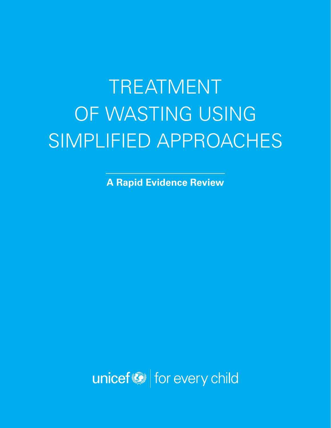# TREATMENT OF WASTING USING SIMPLIFIED APPROACHES

**A Rapid Evidence Review**

unicef<sup>(2)</sup> for every child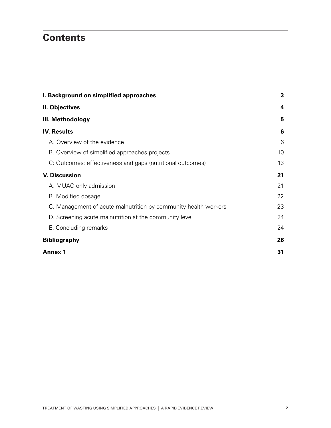## **Contents**

| I. Background on simplified approaches                          |    |  |  |  |  |
|-----------------------------------------------------------------|----|--|--|--|--|
| II. Objectives                                                  | 4  |  |  |  |  |
| III. Methodology                                                | 5  |  |  |  |  |
| <b>IV. Results</b>                                              | 6  |  |  |  |  |
| A. Overview of the evidence                                     | 6  |  |  |  |  |
| B. Overview of simplified approaches projects                   | 10 |  |  |  |  |
| C: Outcomes: effectiveness and gaps (nutritional outcomes)      | 13 |  |  |  |  |
| <b>V. Discussion</b>                                            | 21 |  |  |  |  |
| A. MUAC-only admission                                          | 21 |  |  |  |  |
| B. Modified dosage                                              | 22 |  |  |  |  |
| C. Management of acute malnutrition by community health workers | 23 |  |  |  |  |
| D. Screening acute malnutrition at the community level          | 24 |  |  |  |  |
| E. Concluding remarks                                           | 24 |  |  |  |  |
| <b>Bibliography</b>                                             | 26 |  |  |  |  |
| <b>Annex 1</b>                                                  | 31 |  |  |  |  |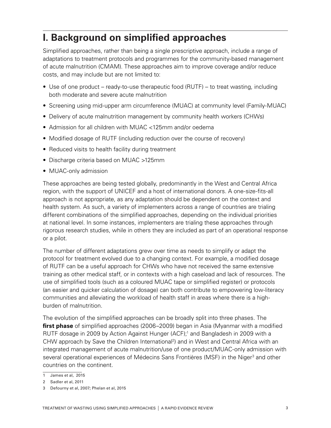# **I. Background on simplified approaches**

Simplified approaches, rather than being a single prescriptive approach, include a range of adaptations to treatment protocols and programmes for the community-based management of acute malnutrition (CMAM). These approaches aim to improve coverage and/or reduce costs, and may include but are not limited to:

- Use of one product ready-to-use therapeutic food (RUTF) to treat wasting, including both moderate and severe acute malnutrition
- Screening using mid-upper arm circumference (MUAC) at community level (Family-MUAC)
- Delivery of acute malnutrition management by community health workers (CHWs)
- Admission for all children with MUAC <125mm and/or oedema
- Modified dosage of RUTF (including reduction over the course of recovery)
- Reduced visits to health facility during treatment
- Discharge criteria based on MUAC >125mm
- MUAC-only admission

These approaches are being tested globally, predominantly in the West and Central Africa region, with the support of UNICEF and a host of international donors. A one-size-fits-all approach is not appropriate, as any adaptation should be dependent on the context and health system. As such, a variety of implementers across a range of countries are trialing different combinations of the simplified approaches, depending on the individual priorities at national level. In some instances, implementers are trialing these approaches through rigorous research studies, while in others they are included as part of an operational response or a pilot.

The number of different adaptations grew over time as needs to simplify or adapt the protocol for treatment evolved due to a changing context. For example, a modified dosage of RUTF can be a useful approach for CHWs who have not received the same extensive training as other medical staff, or in contexts with a high caseload and lack of resources. The use of simplified tools (such as a coloured MUAC tape or simplified register) or protocols (an easier and quicker calculation of dosage) can both contribute to empowering low-literacy communities and alleviating the workload of health staff in areas where there is a highburden of malnutrition.

The evolution of the simplified approaches can be broadly split into three phases. The **first phase** of simplified approaches (2006–2009) began in Asia (Myanmar with a modified RUTF dosage in 2009 by Action Against Hunger (ACF);<sup>1</sup> and Bangladesh in 2009 with a CHW approach by Save the Children International<sup>2</sup>) and in West and Central Africa with an integrated management of acute malnutrition/use of one product/MUAC-only admission with several operational experiences of Médecins Sans Frontières (MSF) in the Niger<sup>3</sup> and other countries on the continent.

<sup>1</sup> James et al, 2015

<sup>2</sup> Sadler et al, 2011

<sup>3</sup> Defourny et al, 2007; Phelan et al, 2015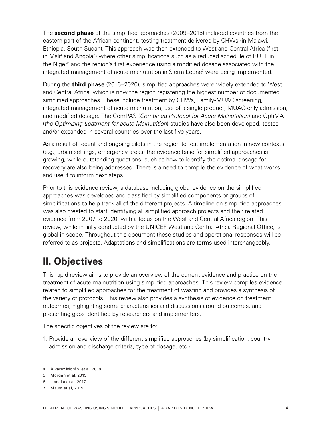The **second phase** of the simplified approaches (2009–2015) included countries from the eastern part of the African continent, testing treatment delivered by CHWs (in Malawi, Ethiopia, South Sudan). This approach was then extended to West and Central Africa (first in Mali<sup>4</sup> and Angola<sup>5</sup>) where other simplifications such as a reduced schedule of RUTF in the Niger<sup>6</sup> and the region's first experience using a modified dosage associated with the integrated management of acute malnutrition in Sierra Leone<sup>7</sup> were being implemented.

During the **third phase** (2016–2020), simplified approaches were widely extended to West and Central Africa, which is now the region registering the highest number of documented simplified approaches. These include treatment by CHWs, Family-MUAC screening, integrated management of acute malnutrition, use of a single product, MUAC-only admission, and modified dosage. The ComPAS (*Combined Protocol for Acute Malnutrition*) and OptiMA (*the Optimizing treatment for acute Malnutrition*) studies have also been developed, tested and/or expanded in several countries over the last five years.

As a result of recent and ongoing pilots in the region to test implementation in new contexts (e.g., urban settings, emergency areas) the evidence base for simplified approaches is growing, while outstanding questions, such as how to identify the optimal dosage for recovery are also being addressed. There is a need to compile the evidence of what works and use it to inform next steps.

Prior to this evidence review, a database including global evidence on the simplified approaches was developed and classified by simplified components or groups of simplifications to help track all of the different projects. A timeline on simplified approaches was also created to start identifying all simplified approach projects and their related evidence from 2007 to 2020, with a focus on the West and Central Africa region. This review, while initially conducted by the UNICEF West and Central Africa Regional Office, is global in scope. Throughout this document these studies and operational responses will be referred to as projects. Adaptations and simplifications are terms used interchangeably.

## **II. Objectives**

This rapid review aims to provide an overview of the current evidence and practice on the treatment of acute malnutrition using simplified approaches. This review compiles evidence related to simplified approaches for the treatment of wasting and provides a synthesis of the variety of protocols. This review also provides a synthesis of evidence on treatment outcomes, highlighting some characteristics and discussions around outcomes, and presenting gaps identified by researchers and implementers.

The specific objectives of the review are to:

1. Provide an overview of the different simplified approaches (by simplification, country, admission and discharge criteria, type of dosage, etc.)

<sup>4</sup> Alvarez Morán. et al, 2018

<sup>5</sup> Morgan et al, 2015.

<sup>6</sup> Isanaka et al, 2017

<sup>7</sup> Maust et al, 2015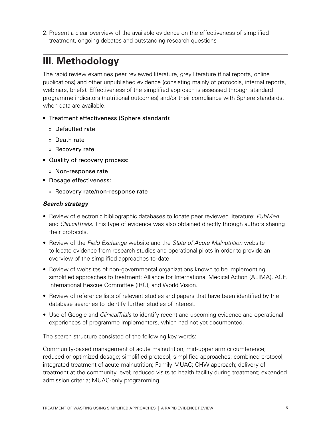2. Present a clear overview of the available evidence on the effectiveness of simplified treatment, ongoing debates and outstanding research questions

# **III. Methodology**

The rapid review examines peer reviewed literature, grey literature (final reports, online publications) and other unpublished evidence (consisting mainly of protocols, internal reports, webinars, briefs). Effectiveness of the simplified approach is assessed through standard programme indicators (nutritional outcomes) and/or their compliance with Sphere standards, when data are available.

- Treatment effectiveness (Sphere standard):
	- » Defaulted rate
	- » Death rate
	- » Recovery rate
- Quality of recovery process:
	- » Non-response rate
- Dosage effectiveness:
	- » Recovery rate/non-response rate

#### *Search strategy*

- Review of electronic bibliographic databases to locate peer reviewed literature: *PubMed* and *ClinicalTrials*. This type of evidence was also obtained directly through authors sharing their protocols.
- Review of the *Field Exchange* website and the *State of Acute Malnutrition* website to locate evidence from research studies and operational pilots in order to provide an overview of the simplified approaches to-date.
- Review of websites of non-governmental organizations known to be implementing simplified approaches to treatment: Alliance for International Medical Action (ALIMA), ACF, International Rescue Committee (IRC), and World Vision.
- Review of reference lists of relevant studies and papers that have been identified by the database searches to identify further studies of interest.
- Use of Google and *ClinicalTrials* to identify recent and upcoming evidence and operational experiences of programme implementers, which had not yet documented.

The search structure consisted of the following key words:

Community-based management of acute malnutrition; mid-upper arm circumference; reduced or optimized dosage; simplified protocol; simplified approaches; combined protocol; integrated treatment of acute malnutrition; Family-MUAC; CHW approach; delivery of treatment at the community level; reduced visits to health facility during treatment; expanded admission criteria; MUAC-only programming.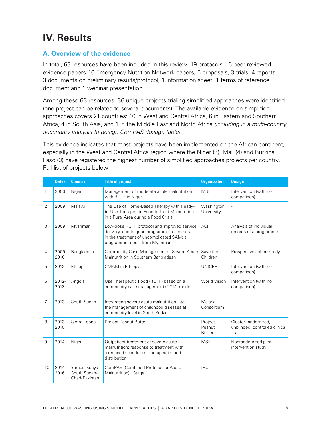# **IV. Results**

## **A. Overview of the evidence**

In total, 63 resources have been included in this review: 19 protocols ,16 peer reviewed evidence papers, 10 Emergency Nutrition Network papers, 5 proposals, 3 trials, 4 reports, 3 documents on preliminary results/protocol, 1 information sheet, 1 terms of reference document and 1 webinar presentation.

Among these 63 resources, 36 unique projects trialing simplified approaches were identified (one project can be related to several documents). The available evidence on simplified approaches covers 21 countries: 10 in West and Central Africa, 6 in Eastern and Southern Africa, 4 in South Asia, and 1 in the Middle East and North Africa *(including in a multi-country secondary analysis to design ComPAS dosage table)*.

This evidence indicates that most projects have been implemented on the African continent, especially in the West and Central Africa region where the Niger (5), Mali (4) and Burkina Faso (3) have registered the highest number of simplified approaches projects per country. Full list of projects below:

|                | <b>Dates</b>     | <b>Country</b>                                | <b>Title of project</b>                                                                                                                                              | <b>Organization</b>                | <b>Design</b>                                                  |
|----------------|------------------|-----------------------------------------------|----------------------------------------------------------------------------------------------------------------------------------------------------------------------|------------------------------------|----------------------------------------------------------------|
| 1              | 2006             | Niger                                         | Management of moderate acute malnutrition<br>with RUTF in Niger                                                                                                      | <b>MSF</b>                         | Intervention (with no<br>comparison)                           |
| $\overline{2}$ | 2009             | Malawi                                        | The Use of Home-Based Therapy with Ready-<br>to-Use Therapeutic Food to Treat Malnutrition<br>in a Rural Area during a Food Crisis                                   | Washington<br>University           | $\overline{a}$                                                 |
| 3              | 2009             | Myanmar                                       | Low-dose RUTF protocol and improved service<br>delivery lead to good programme outcomes<br>in the treatment of uncomplicated SAM: a<br>programme report from Myanmar | <b>ACF</b>                         | Analysis of individual<br>records of a programme               |
| 4              | 2009-<br>2010    | Bangladesh                                    | Community Case Management of Severe Acute<br>Malnutrition in Southern Bangladesh                                                                                     | Save the<br>Children               | Prospective cohort study                                       |
| 5              | 2012             | Ethiopia                                      | <b>CMAM</b> in Ethiopia                                                                                                                                              | <b>UNICEF</b>                      | Intervention (with no<br>comparison)                           |
| 6              | 2012-<br>2013    | Angola                                        | Use Therapeutic Food (RUTF) based on a<br>community case management (CCM) model.                                                                                     | <b>World Vision</b>                | Intervention (with no<br>comparison)                           |
| 7              | 2013             | South Sudan                                   | Integrating severe acute malnutrition into<br>the management of childhood diseases at<br>community level in South Sudan                                              | Malaria<br>Consortium              | L,                                                             |
| 8              | 2013-<br>2015    | Sierra Leone                                  | Project Peanut Butter                                                                                                                                                | Project<br>Peanut<br><b>Butter</b> | Cluster-randomized,<br>unblinded, controlled clinical<br>trial |
| 9              | 2014             | Niger                                         | Outpatient treatment of severe acute<br>malnutrition: response to treatment with<br>a reduced schedule of therapeutic food<br>distribution                           | <b>MSF</b>                         | Nonrandomized pilot<br>intervention study                      |
| 10             | $2014 -$<br>2016 | Yemen-Kenya-<br>South Sudan-<br>Chad-Pakistan | ComPAS (Combined Protocol for Acute<br>Malnutrition) _Stage 1                                                                                                        | <b>IRC</b>                         |                                                                |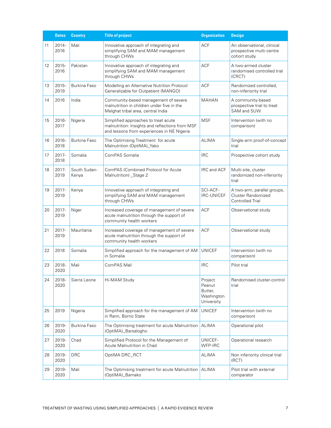|    | <b>Dates</b>     | <b>Country</b>        | <b>Title of project</b>                                                                                                               | <b>Organization</b>                                      | <b>Design</b>                                                                |
|----|------------------|-----------------------|---------------------------------------------------------------------------------------------------------------------------------------|----------------------------------------------------------|------------------------------------------------------------------------------|
| 11 | $2014 -$<br>2016 | Mali                  | Innovative approach of integrating and<br>simplifying SAM and MAM management<br>through CHWs                                          | <b>ACF</b>                                               | An observational, clinical<br>prospective multi-centre<br>cohort study       |
| 12 | $2015 -$<br>2016 | Pakistan              | Innovative approach of integrating and<br>simplifying SAM and MAM management<br>through CHWs                                          | <b>ACF</b>                                               | A two-armed cluster<br>randomised controlled trial<br>(CRCT)                 |
| 13 | $2015 -$<br>2019 | Burkina Faso          | Modelling an Alternative Nutrition Protocol<br>Generalizable for Outpatient (MANGO)                                                   | <b>ACF</b>                                               | Randomized controlled,<br>non-inferiority trial                              |
| 14 | 2016             | India                 | Community-based management of severe<br>malnutrition in children under five in the<br>Melghat tribal area, central India              | <b>MAHAN</b>                                             | A community-based<br>prospective trial to treat<br>SAM and SUW               |
| 15 | 2016-<br>2017    | Nigeria               | Simplified approaches to treat acute<br>malnutrition: Insights and reflections from MSF<br>and lessons from experiences in NE Nigeria | <b>MSF</b>                                               | Intervention (with no<br>comparison)                                         |
| 16 | 2016-<br>2018    | Burkina Faso          | The Optimising Treatment for acute<br>Malnutrition (OptiMA)_Yako                                                                      | <b>ALIMA</b>                                             | Single-arm proof-of-concept<br>trial                                         |
| 17 | 2017-<br>2018    | Somalia               | ComPAS Somalia                                                                                                                        | <b>IRC</b>                                               | Prospective cohort study                                                     |
| 18 | 2017-<br>2019    | South Sudan-<br>Kenya | ComPAS (Combined Protocol for Acute<br>Malnutrition) _Stage 2                                                                         | IRC and ACF                                              | Multi-site, cluster<br>randomized non-inferiority<br>trial                   |
| 19 | 2017-<br>2019    | Kenya                 | Innovative approach of integrating and<br>simplifying SAM and MAM management<br>through CHWs                                          | SCI-ACF-<br><b>IRC-UNICEF</b>                            | A two-arm, parallel groups,<br>Cluster Randomized<br><b>Controlled Trial</b> |
| 20 | 2017-<br>2019    | Niger                 | Increased coverage of management of severe<br>acute malnutrition through the support of<br>community health workers                   | <b>ACF</b>                                               | Observational study                                                          |
| 21 | 2017-<br>2019    | Mauritania            | Increased coverage of management of severe<br>acute malnutrition through the support of<br>community health workers                   | <b>ACF</b>                                               | Observational study                                                          |
| 22 | 2018             | Somalia               | Simplified approach for the management of AM<br>in Somalia                                                                            | <b>UNICEF</b>                                            | Intervention (with no<br>comparison)                                         |
| 23 | 2018-<br>2020    | Mali                  | ComPAS Mali                                                                                                                           | <b>IRC</b>                                               | Pilot trial                                                                  |
| 24 | 2018-<br>2020    | Sierra Leone          | Hi-MAM Study                                                                                                                          | Project<br>Peanut<br>Butter.<br>Washington<br>University | Randomised cluster-control<br>trial                                          |
| 25 | 2019             | Nigeria               | Simplified approach for the management of AM<br>in Rann, Borno State                                                                  | <b>UNICEF</b>                                            | Intervention (with no<br>comparison)                                         |
| 26 | 2019-<br>2020    | Burkina Faso          | The Optimising treatment for acute Malnutrition<br>(OptiMA)_Barsalogho                                                                | <b>ALIMA</b>                                             | Operational pilot                                                            |
| 27 | 2019-<br>2020    | Chad                  | Simplified Protocol for the Management of<br>Acute Malnutrition in Chad                                                               | UNICEF-<br>WFP-IRC                                       | Operational research                                                         |
| 28 | 2019-<br>2020    | <b>DRC</b>            | OptiMA DRC_RCT                                                                                                                        | <b>ALIMA</b>                                             | Non inferiority clinical trial<br>(RCT)                                      |
| 29 | 2019-<br>2020    | Mali                  | The Optimising treatment for acute Malnutrition<br>(OptiMA)_Bamako                                                                    | ALIMA                                                    | Pilot trial with external<br>comparator                                      |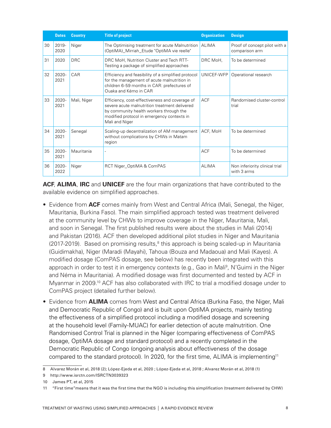|    | <b>Dates</b>     | <b>Country</b> | <b>Title of project</b>                                                                                                                                                                                    | <b>Organization</b> | <b>Design</b>                                   |
|----|------------------|----------------|------------------------------------------------------------------------------------------------------------------------------------------------------------------------------------------------------------|---------------------|-------------------------------------------------|
| 30 | 2019-<br>2020    | Niger          | The Optimising treatment for acute Malnutrition<br>(OptiMA)_Mirriah_Etude "OptiMA vie reelle"                                                                                                              | <b>ALIMA</b>        | Proof of concept pilot with a<br>comparison arm |
| 31 | 2020             | <b>DRC</b>     | DRC MoH, Nutrition Cluster and Tech RTT-<br>Testing a package of simplified approaches                                                                                                                     | DRC MoH,            | To be determined                                |
| 32 | $2020 -$<br>2021 | CAR            | Efficiency and feasibility of a simplified protocol<br>for the management of acute malnutrition in<br>children 6-59 months in CAR: prefectures of<br>Ouaka and Kémo in CAR                                 | UNICEF-WFP          | Operational research                            |
| 33 | 2020-<br>2021    | Mali, Niger    | Efficiency, cost-effectiveness and coverage of<br>severe acute malnutrition treatment delivered<br>by community health workers through the<br>modified protocol in emergency contexts in<br>Mali and Niger | <b>ACF</b>          | Randomised cluster-control<br>trial             |
| 34 | $2020 -$<br>2021 | Senegal        | Scaling-up decentralization of AM management<br>without complications by CHWs in Matam<br>region                                                                                                           | ACF, MoH            | To be determined                                |
| 35 | 2020-<br>2021    | Mauritania     |                                                                                                                                                                                                            | <b>ACF</b>          | To be determined                                |
| 36 | $2020 -$<br>2022 | Niger          | RCT Niger_OptiMA & ComPAS                                                                                                                                                                                  | <b>ALIMA</b>        | Non inferiority clinical trial<br>with 3 arms   |

**ACF**, **ALIMA**, **IRC** and **UNICEF** are the four main organizations that have contributed to the available evidence on simplified approaches.

- Evidence from **ACF** comes mainly from West and Central Africa (Mali, Senegal, the Niger, Mauritania, Burkina Faso). The main simplified approach tested was treatment delivered at the community level by CHWs to improve coverage in the Niger, Mauritania, Mali, and soon in Senegal. The first published results were about the studies in Mali (2014) and Pakistan (2016). ACF then developed additional pilot studies in Niger and Mauritania (2017-2019). Based on promising results,<sup>8</sup> this approach is being scaled-up in Mauritania (Guidimakha), Niger (Maradi (Mayahi), Tahoua (Bouza and Madaoua) and Mali (Kayes). A modified dosage (ComPAS dosage, see below) has recently been integrated with this approach in order to test it in emergency contexts (e.g., Gao in Mali<sup>9</sup>, N'Guimi in the Niger and Néma in Mauritania). A modified dosage was first documented and tested by ACF in Myanmar in 2009.<sup>10</sup> ACF has also collaborated with IRC to trial a modified dosage under to ComPAS project (detailed further below).
- Evidence from **ALIMA** comes from West and Central Africa (Burkina Faso, the Niger, Mali and Democratic Republic of Congo) and is built upon OptiMA projects, mainly testing the effectiveness of a simplified protocol including a modified dosage and screening at the household level (Family-MUAC) for earlier detection of acute malnutrition. One Randomised Control Trial is planned in the Niger (comparing effectiveness of ComPAS dosage, OptiMA dosage and standard protocol) and a recently completed in the Democratic Republic of Congo (ongoing analysis about effectiveness of the dosage compared to the standard protocol). In 2020, for the first time, ALIMA is implementing<sup>11</sup>

<sup>8</sup> Alvarez Morán et al, 2018 (2); López-Ejeda et al, 2020 ; López-Ejeda et al, 2018 ; Alvarez Morán et al, 2018 (1)

<sup>9</sup> http://www.isrctn.com/ISRCTN3039323

<sup>10</sup> James PT, et al, 2015

<sup>11 &</sup>quot;First time"means that it was the first time that the NGO is including this simplification (treatment delivered by CHW)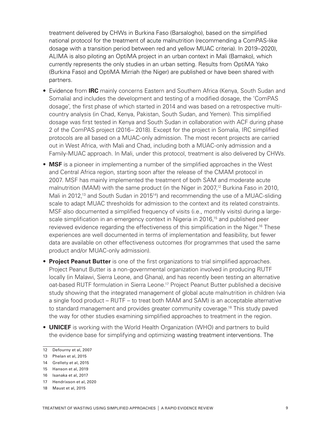treatment delivered by CHWs in Burkina Faso (Barsalogho), based on the simplified national protocol for the treatment of acute malnutrition (recommending a ComPAS-like dosage with a transition period between red and yellow MUAC criteria). In 2019–2020), ALIMA is also piloting an OptiMA project in an urban context in Mali (Bamako), which currently represents the only studies in an urban setting. Results from OptiMA Yako (Burkina Faso) and OptiMA Mirriah (the Niger) are published or have been shared with partners.

- Evidence from **IRC** mainly concerns Eastern and Southern Africa (Kenya, South Sudan and Somalia) and includes the development and testing of a modified dosage, the 'ComPAS dosage', the first phase of which started in 2014 and was based on a retrospective multicountry analysis (in Chad, Kenya, Pakistan, South Sudan, and Yemen). This simplified dosage was first tested in Kenya and South Sudan in collaboration with ACF during phase 2 of the ComPAS project (2016– 2018). Except for the project in Somalia, IRC simplified protocols are all based on a MUAC-only admission. The most recent projects are carried out in West Africa, with Mali and Chad, including both a MUAC-only admission and a Family-MUAC approach. In Mali, under this protocol, treatment is also delivered by CHWs.
- **MSF** is a pioneer in implementing a number of the simplified approaches in the West and Central Africa region, starting soon after the release of the CMAM protocol in 2007. MSF has mainly implemented the treatment of both SAM and moderate acute malnutrition (MAM) with the same product (in the Niger in 2007,<sup>12</sup> Burkina Faso in 2010, Mali in 2012,<sup>13</sup> and South Sudan in 2015<sup>14</sup>) and recommending the use of a MUAC-sliding scale to adapt MUAC thresholds for admission to the context and its related constraints. MSF also documented a simplified frequency of visits (i.e., monthly visits) during a largescale simplification in an emergency context in Nigeria in 2016,<sup>15</sup> and published peer reviewed evidence regarding the effectiveness of this simplification in the Niger.<sup>16</sup> These experiences are well documented in terms of implementation and feasibility, but fewer data are available on other effectiveness outcomes (for programmes that used the same product and/or MUAC-only admission).
- **Project Peanut Butter** is one of the first organizations to trial simplified approaches. Project Peanut Butter is a non-governmental organization involved in producing RUTF locally (in Malawi, Sierra Leone, and Ghana), and has recently been testing an alternative oat-based RUTF formulation in Sierra Leone.<sup>17</sup> Project Peanut Butter published a decisive study showing that the integrated management of global acute malnutrition in children (via a single food product – RUTF – to treat both MAM and SAM) is an acceptable alternative to standard management and provides greater community coverage.18 This study paved the way for other studies examining simplified approaches to treatment in the region.
- **UNICEF** is working with the World Health Organization (WHO) and partners to build the evidence base for simplifying and optimizing wasting treatment interventions. The

13 Phelan et al, 2015

17 Hendrixson et al, 2020

<sup>12</sup> Defourny et al, 2007

<sup>14</sup> Grellety et al, 2015

<sup>15</sup> Hanson et al, 2019

<sup>16</sup> Isanaka et al, 2017

<sup>18</sup> Maust et al, 2015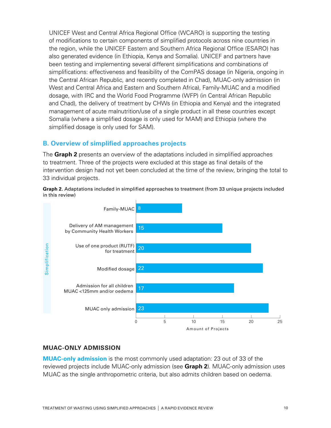UNICEF West and Central Africa Regional Office (WCARO) is supporting the testing of modifications to certain components of simplified protocols across nine countries in the region, while the UNICEF Eastern and Southern Africa Regional Office (ESARO) has also generated evidence (in Ethiopia, Kenya and Somalia). UNICEF and partners have been testing and implementing several different simplifications and combinations of simplifications: effectiveness and feasibility of the ComPAS dosage (in Nigeria, ongoing in the Central African Republic, and recently completed in Chad), MUAC-only admission (in West and Central Africa and Eastern and Southern Africa), Family-MUAC and a modified dosage, with IRC and the World Food Programme (WFP) (in Central African Republic and Chad), the delivery of treatment by CHWs (in Ethiopia and Kenya) and the integrated management of acute malnutrition/use of a single product in all these countries except Somalia (where a simplified dosage is only used for MAM) and Ethiopia (where the simplified dosage is only used for SAM).

#### **B. Overview of simplified approaches projects**

The **Graph 2** presents an overview of the adaptations included in simplified approaches to treatment. Three of the projects were excluded at this stage as final details of the intervention design had not yet been concluded at the time of the review, bringing the total to 33 individual projects.

**Graph 2.** Adaptations included in simplified approaches to treatment (from 33 unique projects included in this review)



## **MUAC-ONLY ADMISSION**

**MUAC-only admission** is the most commonly used adaptation: 23 out of 33 of the reviewed projects include MUAC-only admission (see **Graph 2**). MUAC-only admission uses MUAC as the single anthropometric criteria, but also admits children based on oedema.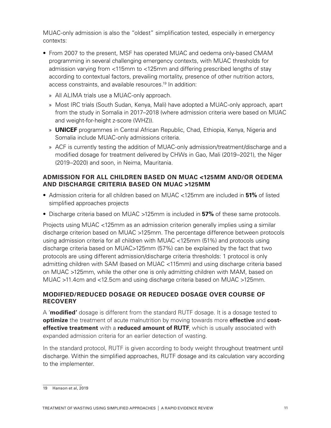MUAC-only admission is also the "oldest" simplification tested, especially in emergency contexts:

- From 2007 to the present, MSF has operated MUAC and oedema only-based CMAM programming in several challenging emergency contexts, with MUAC thresholds for admission varying from <115mm to <125mm and differing prescribed lengths of stay according to contextual factors, prevailing mortality, presence of other nutrition actors, access constraints, and available resources.19 In addition:
	- » All ALIMA trials use a MUAC-only approach.
	- » Most IRC trials (South Sudan, Kenya, Mali) have adopted a MUAC-only approach, apart from the study in Somalia in 2017–2018 (where admission criteria were based on MUAC and weight-for-height z-score (WHZ)).
	- » **UNICEF** programmes in Central African Republic, Chad, Ethiopia, Kenya, Nigeria and Somalia include MUAC-only admissions criteria.
	- » ACF is currently testing the addition of MUAC-only admission/treatment/discharge and a modified dosage for treatment delivered by CHWs in Gao, Mali (2019–2021), the Niger (2019–2020) and soon, in Neima, Mauritania.

#### **ADMISSION FOR ALL CHILDREN BASED ON MUAC <125MM AND/OR OEDEMA AND DISCHARGE CRITERIA BASED ON MUAC >125MM**

- Admission criteria for all children based on MUAC <125mm are included in **51%** of listed simplified approaches projects
- Discharge criteria based on MUAC >125mm is included in **57%** of these same protocols.

Projects using MUAC <125mm as an admission criterion generally implies using a similar discharge criterion based on MUAC >125mm. The percentage difference between protocols using admission criteria for all children with MUAC <125mm (51%) and protocols using discharge criteria based on MUAC>125mm (57%) can be explained by the fact that two protocols are using different admission/discharge criteria thresholds: 1 protocol is only admitting children with SAM (based on MUAC <115mm) and using discharge criteria based on MUAC >125mm, while the other one is only admitting children with MAM, based on MUAC >11.4cm and <12.5cm and using discharge criteria based on MUAC >125mm.

#### **MODIFIED/REDUCED DOSAGE OR REDUCED DOSAGE OVER COURSE OF RECOVERY**

A '**modified'** dosage is different from the standard RUTF dosage. It is a dosage tested to **optimize** the treatment of acute malnutrition by moving towards more **effective** and **costeffective treatment** with a **reduced amount of RUTF**, which is usually associated with expanded admission criteria for an earlier detection of wasting.

In the standard protocol, RUTF is given according to body weight throughout treatment until discharge. Within the simplified approaches, RUTF dosage and its calculation vary according to the implementer.

<sup>19</sup> Hanson et al, 2019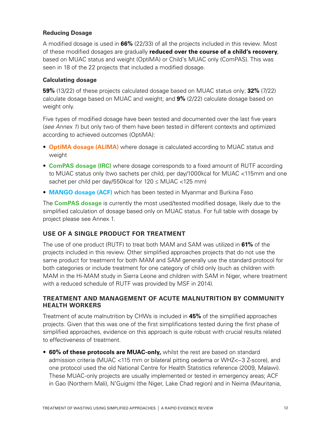### **Reducing Dosage**

A modified dosage is used in **66%** (22/33) of all the projects included in this review. Most of these modified dosages are gradually **reduced over the course of a child's recovery**, based on MUAC status and weight (OptiMA) or Child's MUAC only (ComPAS). This was seen in 18 of the 22 projects that included a modified dosage.

#### **Calculating dosage**

**59%** (13/22) of these projects calculated dosage based on MUAC status only; **32%** (7/22) calculate dosage based on MUAC and weight; and **9%** (2/22) calculate dosage based on weight only.

Five types of modified dosage have been tested and documented over the last five years (*see Annex 1*) but only two of them have been tested in different contexts and optimized according to achieved outcomes (OptiMA):

- **OptiMA dosage (ALIMA)** where dosage is calculated according to MUAC status and weight
- **ComPAS dosage (IRC)** where dosage corresponds to a fixed amount of RUTF according to MUAC status only (two sachets per child, per day/1000kcal for MUAC <115mm and one sachet per child per day/550kcal for 120 ≤ MUAC <125 mm)
- **MANGO dosage (ACF)** which has been tested in Myanmar and Burkina Faso

The **ComPAS dosage** is currently the most used/tested modified dosage, likely due to the simplified calculation of dosage based only on MUAC status. For full table with dosage by project please see Annex 1.

#### **USE OF A SINGLE PRODUCT FOR TREATMENT**

The use of one product (RUTF) to treat both MAM and SAM was utilized in **61%** of the projects included in this review. Other simplified approaches projects that do not use the same product for treatment for both MAM and SAM generally use the standard protocol for both categories or include treatment for one category of child only (such as children with MAM in the Hi-MAM study in Sierra Leone and children with SAM in Niger, where treatment with a reduced schedule of RUTF was provided by MSF in 2014).

#### **TREATMENT AND MANAGEMENT OF ACUTE MALNUTRITION BY COMMUNITY HEALTH WORKERS**

Treatment of acute malnutrition by CHWs is included in **45%** of the simplified approaches projects. Given that this was one of the first simplifications tested during the first phase of simplified approaches, evidence on this approach is quite robust with crucial results related to effectiveness of treatment.

• **60% of these protocols are MUAC-only,** whilst the rest are based on standard admission criteria (MUAC <115 mm or bilateral pitting oedema or WHZ<−3 Z-score), and one protocol used the old National Centre for Health Statistics reference (2009, Malawi). These MUAC-only projects are usually implemented or tested in emergency areas; ACF in Gao (Northern Mali), N'Guigmi (the Niger, Lake Chad region) and in Neima (Mauritania,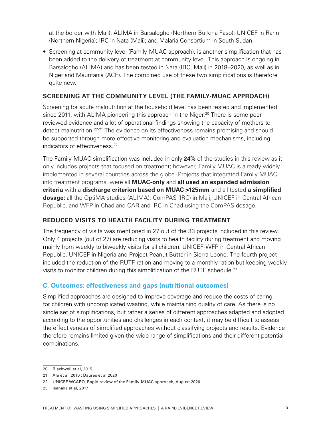at the border with Mali); ALIMA in Barsalogho (Northern Burkina Faso); UNICEF in Rann (Northern Nigeria); IRC in Nata (Mali); and Malaria Consortium in South Sudan.

• Screening at community level (Family-MUAC approach), is another simplification that has been added to the delivery of treatment at community level. This approach is ongoing in Barsalogho (ALIMA) and has been tested in Nara (IRC, Mali) in 2018–2020, as well as in Niger and Mauritania (ACF). The combined use of these two simplifications is therefore quite new.

#### **SCREENING AT THE COMMUNITY LEVEL (THE FAMILY-MUAC APPROACH)**

Screening for acute malnutrition at the household level has been tested and implemented since 2011, with ALIMA pioneering this approach in the Niger.<sup>20</sup> There is some peer reviewed evidence and a lot of operational findings showing the capacity of mothers to detect malnutrition.<sup>22-21</sup> The evidence on its effectiveness remains promising and should be supported through more effective monitoring and evaluation mechanisms, including indicators of effectiveness.<sup>22</sup>

The Family-MUAC simplification was included in only **24%** of the studies in this review as it only includes projects that focused on treatment; however, Family MUAC is already widely implemented in several countries across the globe. Projects that integrated Family MUAC into treatment programs, were all **MUAC-only** and **all used an expanded admission criteria** with a **discharge criterion based on MUAC >125mm** and all tested **a simplified dosage:** all the OptiMA studies (ALIMA), ComPAS (IRC) in Mali, UNICEF in Central African Republic, and WFP in Chad and CAR and IRC in Chad using the ComPAS dosage.

#### **REDUCED VISITS TO HEALTH FACILITY DURING TREATMENT**

The frequency of visits was mentioned in 27 out of the 33 projects included in this review. Only 4 projects (out of 27) are reducing visits to health facility during treatment and moving mainly from weekly to biweekly visits for all children: UNICEF-WFP in Central African Republic, UNICEF in Nigeria and Project Peanut Butter in Sierra Leone. The fourth project included the reduction of the RUTF ration and moving to a monthly ration but keeping weekly visits to monitor children during this simplification of the RUTF schedule.<sup>23</sup>

#### **C. Outcomes: effectiveness and gaps (nutritional outcomes)**

Simplified approaches are designed to improve coverage and reduce the costs of caring for children with uncomplicated wasting, while maintaining quality of care. As there is no single set of simplifications, but rather a series of different approaches adapted and adopted according to the opportunities and challenges in each context, it may be difficult to assess the effectiveness of simplified approaches without classifying projects and results. Evidence therefore remains limited given the wide range of simplifications and their different potential combinations.

<sup>20</sup> Blackwell et al, 2015

<sup>21</sup> Alé et al, 2016 ; Daures et al,2020

<sup>22</sup> UNICEF WCARO, Rapid review of the Family-MUAC approach, August 2020

<sup>23</sup> Isanaka et al, 2017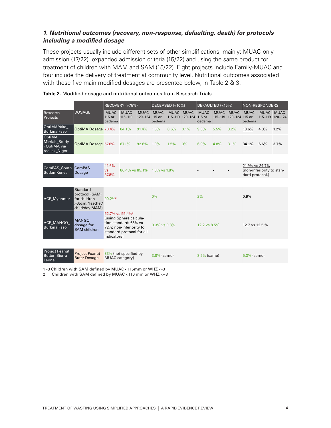### *1. Nutritional outcomes (recovery, non-response, defaulting, death) for protocols including a modified dosage*

These projects usually include different sets of other simplifications, mainly: MUAC-only admission (17/22), expanded admission criteria (15/22) and using the same product for treatment of children with MAM and SAM (15/22). Eight projects include Family-MUAC and four include the delivery of treatment at community level. Nutritional outcomes associated with these five main modified dosages are presented below, in Table 2 & 3.

|                                                         |                                                                                  |                                 | RECOVERY (>75%)             |                               | DECEASED (<10%)       |             |                                | DEFAULTED (<15%)                |                            | NON-RESPONDERS         |                                                                |                            |                        |
|---------------------------------------------------------|----------------------------------------------------------------------------------|---------------------------------|-----------------------------|-------------------------------|-----------------------|-------------|--------------------------------|---------------------------------|----------------------------|------------------------|----------------------------------------------------------------|----------------------------|------------------------|
| Research<br>Projects                                    | <b>DOSAGE</b>                                                                    | <b>MUAC</b><br>115 or<br>oedema | <b>MUAC</b><br>115-119      | <b>MUAC</b><br>120-124 115 or | <b>MUAC</b><br>oedema | <b>MUAC</b> | <b>MUAC</b><br>115-119 120-124 | <b>MUAC</b><br>115 or<br>oedema | <b>MUAC</b><br>$115 - 119$ | <b>MUAC</b><br>120-124 | <b>MUAC</b><br>115 or<br>oedema                                | <b>MUAC</b><br>$115 - 119$ | <b>MUAC</b><br>120-124 |
| OptiMAYako_<br><b>Burkina Faso</b>                      | OptiMA Dosage 70.4%                                                              |                                 | 84.1%                       | 91.4%                         | 1.5%                  | 0.6%        | 0.1%                           | 9.3%                            | 5.5%                       | 3.2%                   | 10.6%                                                          | 4.3%                       | 1.2%                   |
| OptiMA<br>Mirriah_Study<br>«OptiMA vie<br>reelle»_Niger | OptiMA Dosage 57.6%                                                              |                                 | 87.1%                       | 92.6%                         | $1.0\%$               | 1.5%        | 0%                             | 6.9%                            | 4.8%                       | 3.1%                   | 34.1%                                                          | 6.6%                       | 3.7%                   |
|                                                         |                                                                                  |                                 |                             |                               |                       |             |                                |                                 |                            |                        |                                                                |                            |                        |
| ComPAS South ComPAS<br>Sudan-Kenya                      | Dosage                                                                           | 41.6%<br><b>VS</b><br>37.8%     | 86.4% vs 85.1% 1.8% vs 1.8% |                               |                       |             |                                |                                 |                            |                        | 21.9% vs 24.7%<br>(non-inferiority to stan-<br>dard protocol.) |                            |                        |
|                                                         |                                                                                  |                                 |                             |                               |                       |             |                                |                                 |                            |                        |                                                                |                            |                        |
| ACF_Myanmar                                             | Standard<br>protocol (SAM)<br>for children<br>>65cm, 1 sachet/<br>child/day MAM) | $90.2\%$ <sup>2</sup>           |                             |                               | 0%                    |             |                                | 2%                              |                            |                        | 0.9%                                                           |                            |                        |
|                                                         |                                                                                  | 52.7% vs 55.4% <sup>3</sup>     | Luging Cabora coloula       |                               |                       |             |                                |                                 |                            |                        |                                                                |                            |                        |

| <b>Table 2.</b> Modified dosage and nutritional outcomes from Research Trials |  |  |  |
|-------------------------------------------------------------------------------|--|--|--|

| ACF_Myanmar                                                | protocol (SAM)<br>for children<br>>65cm, 1 sachet/<br>child/day MAM) | $90.2\%$ <sup>2</sup>                                                                                                                                 | $0\%$              | 2%             | 0.9%           |
|------------------------------------------------------------|----------------------------------------------------------------------|-------------------------------------------------------------------------------------------------------------------------------------------------------|--------------------|----------------|----------------|
| <b>ACF MANGO</b><br><b>Burkina Faso</b>                    | <b>MANGO</b><br>dosage for<br><b>SAM</b> children                    | 52.7% vs 55.4% <sup>3</sup><br>(using Sphere calcula-<br>tion standard: 68% vs<br>72%; non-inferiority to<br>standard protocol for all<br>indicators) | $0.3\%$ vs $0.3\%$ | 12.2 vs 8.5%   | 12.7 vs 12.5 % |
|                                                            |                                                                      |                                                                                                                                                       |                    |                |                |
| <b>Project Peanut</b><br><b>Butter Sierra</b><br>المحمد ال | <b>Project Peanut</b><br><b>Buter Dosage</b>                         | 83% (not specified by<br>MUAC category)                                                                                                               | $3.8\%$ (same)     | $8.2\%$ (same) | $5.3\%$ (same) |

1 -3 Children with SAM defined by MUAC <115mm or WHZ <-3

2 Children with SAM defined by MUAC <110 mm or WHZ <−3

Leone<sup>-</sup>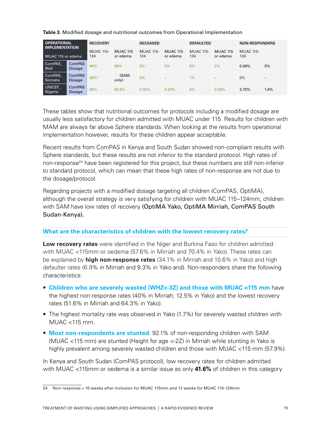| <b>OPERATIONAL</b><br><b>IMPLEMENTATION</b><br>MUAC 115 or edema |                         | <b>RECOVERY</b>         |                             | <b>DECEASED</b>         |                             | <b>DEFAULTED</b>        |                             | <b>NON-RESPONDERS</b>   |                          |
|------------------------------------------------------------------|-------------------------|-------------------------|-----------------------------|-------------------------|-----------------------------|-------------------------|-----------------------------|-------------------------|--------------------------|
|                                                                  |                         | <b>MUAC 115-</b><br>124 | <b>MUAC 115</b><br>or edema | <b>MUAC 115-</b><br>124 | <b>MUAC 115</b><br>or edema | <b>MUAC 115-</b><br>124 | <b>MUAC 115</b><br>or edema | <b>MUAC 115-</b><br>124 |                          |
| ComPAS<br>Mali                                                   | <b>ComPAS</b><br>Dosage | 94%                     | 98%                         | 0%                      | 0%                          | 6%                      | 2%                          | 0.08%                   | 0%                       |
| ComPAS<br>Somalia                                                | <b>ComPAS</b><br>Dosage | 98%1                    | (SAM<br>only)               | $0\%$                   |                             | 1%                      |                             | $0\%$                   | $\overline{\phantom{a}}$ |
| <b>UNICEF</b><br>Nigeria                                         | <b>ComPAS</b><br>Dosage | 90%                     | 95.9%                       | 0.30%                   | 0.20%                       | 6%                      | 2.50%                       | 3.70%                   | 1.4%                     |

#### **Table 3.** Modified dosage and nutritional outcomes from Operational Implementation

These tables show that nutritional outcomes for protocols including a modified dosage are usually less satisfactory for children admitted with MUAC under 115. Results for children with MAM are always far above Sphere standards. When looking at the results from operational implementation however, results for these children appear acceptable.

Recent results from ComPAS in Kenya and South Sudan showed non-compliant results with Sphere standards, but these results are not inferior to the standard protocol. High rates of non-response<sup>24</sup> have been registered for this project, but these numbers are still non-inferior to standard protocol, which can mean that these high rates of non-response are not due to the dosage/protocol.

Regarding projects with a modified dosage targeting all children (ComPAS, OptiMA), although the overall strategy is very satisfying for children with MUAC 115–124mm, children with SAM have low rates of recovery (OptiMA Yako, OptiMA Mirriah, ComPAS South Sudan-Kenya).

#### **What are the characteristics of children with the lowest recovery rates?**

**Low recovery rates** were identified in the Niger and Burkina Faso for children admitted with MUAC <115mm or oedema (57.6% in Mirriah and 70.4% in Yako). These rates can be explained by **high non-response rates** (34.1% in Mirriah and 10.6% in Yako) and high defaulter rates (6.9% in Mirriah and 9.3% in Yako and). Non-responders share the following characteristics:

- **Children who are severely wasted (WHZ<-3Z) and those with MUAC <115 mm** have the highest non-response rates (40% in Mirriah; 12.5% in Yako) and the lowest recovery rates (51.6% in Mirriah and 64.3% in Yako).
- The highest mortality rate was observed in Yako (1.7%) for severely wasted children with MUAC <115 mm.
- **Most non-respondents are stunted**: 92.1% of non-responding children with SAM (MUAC <115 mm) are stunted (Height for age <-2Z) in Mirriah while stunting in Yako is highly prevalent among severely wasted children and those with MUAC <115 mm (57.9%).

In Kenya and South Sudan (ComPAS protocol), low recovery rates for children admitted with MUAC <115mm or oedema is a similar issue as only **41.6%** of children in this category

<sup>24</sup> Non-response = 10 weeks after inclusion for MUAC 115mm and 12 weeks for MUAC 115-124mm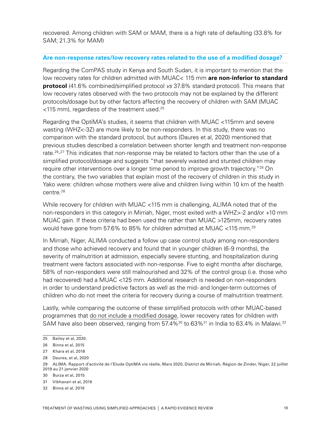recovered. Among children with SAM or MAM, there is a high rate of defaulting (33.8% for SAM; 21.3% for MAM)

#### **Are non-response rates/low recovery rates related to the use of a modified dosage?**

Regarding the ComPAS study in Kenya and South Sudan, it is important to mention that the low recovery rates for children admitted with MUAC< 115 mm **are non-inferior to standard protocol** (41.6% combined/simplified protocol *vs* 37.8% standard protocol). This means that low recovery rates observed with the two protocols may not be explained by the different protocols/dosage but by other factors affecting the recovery of children with SAM (MUAC  $<$ 115 mm), regardless of the treatment used.<sup>25</sup>

Regarding the OptiMA's studies, it seems that children with MUAC <115mm and severe wasting (WHZ<-3Z) are more likely to be non-responders. In this study, there was no comparison with the standard protocol, but authors (Daures et al, 2020) mentioned that previous studies described a correlation between shorter length and treatment non-response rate.<sup>26</sup>-<sup>27</sup> This indicates that non-response may be related to factors other than the use of a simplified protocol/dosage and suggests "that severely wasted and stunted children may require other interventions over a longer time period to improve growth trajectory."<sup>28</sup> On the contrary, the two variables that explain most of the recovery of children in this study in Yako were: children whose mothers were alive and children living within 10 km of the health centre.28

While recovery for children with MUAC <115 mm is challenging, ALIMA noted that of the non-responders in this category in Mirriah, Niger, most exited with a WHZ>-2 and/or +10 mm MUAC gain. If these criteria had been used the rather than MUAC >125mm, recovery rates would have gone from 57.6% to 85% for children admitted at MUAC <115 mm.29

In Mirriah, Niger, ALIMA conducted a follow up case control study among non-responders and those who achieved recovery and found that in younger children (6-9 months), the severity of malnutrition at admission, especially severe stunting, and hospitalization during treatment were factors associated with non-response. Five to eight months after discharge, 58% of non-responders were still malnourished and 32% of the control group (i.e. those who had recovered) had a MUAC <125 mm. Additional research is needed on non-responders in order to understand predictive factors as well as the mid- and longer-term outcomes of children who do not meet the criteria for recovery during a course of malnutrition treatment.

Lastly, while comparing the outcome of these simplified protocols with other MUAC-based programmes that do not include a modified dosage, lower recovery rates for children with SAM have also been observed, ranging from 57.4%<sup>30</sup> to 63%<sup>31</sup> in India to 63.4% in Malawi.<sup>32</sup>

28 Daures, et al, 2020

31 Vibhavari et al, 2016

<sup>25</sup> Bailey et al, 2020.

<sup>26</sup> Binns et al, 2015

<sup>27</sup> Khara et al, 2018

<sup>29</sup> ALIMA. Rapport d'activité de l'Etude OptiMA vie réelle, Mars 2020, District de Mirriah, Région de Zinder, Niger, 22 juillet 2019 au 21 janvier 2020

<sup>30</sup> Burza et al, 2015

<sup>32</sup> Binns et al, 2016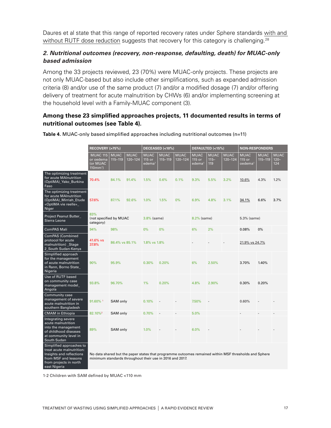Daures et al state that this range of reported recovery rates under Sphere standards with and without RUTF dose reduction suggests that recovery for this category is challenging.<sup>28</sup>

## *2. Nutritional outcomes (recovery, non-response, defaulting, death) for MUAC-only based admission*

Among the 33 projects reviewed, 23 (70%) were MUAC-only projects. These projects are not only MUAC-based but also include other simplifications, such as expanded admission criteria (8) and/or use of the same product (7) and/or a modified dosage (7) and/or offering delivery of treatment for acute malnutrition by CHWs (6) and/or implementing screening at the household level with a Family-MUAC component (3).

#### **Among these 23 simplified approaches projects, 11 documented results in terms of nutritional outcomes (see Table 4).**

|                                                                                                                                                     | RECOVERY (>75%)                                                                                                                                                   |                        |                        | DECEASED (<10%)                             |                        | DEFAULTED (<15%)       |                                             |                               | <b>NON-RESPONDERS</b>  |                                              |                        |                               |
|-----------------------------------------------------------------------------------------------------------------------------------------------------|-------------------------------------------------------------------------------------------------------------------------------------------------------------------|------------------------|------------------------|---------------------------------------------|------------------------|------------------------|---------------------------------------------|-------------------------------|------------------------|----------------------------------------------|------------------------|-------------------------------|
|                                                                                                                                                     | <b>MUAC 115</b><br>or oedema<br>(or MUAC<br>$110mm1$ )                                                                                                            | <b>MUAC</b><br>115-119 | <b>MUAC</b><br>120-124 | <b>MUAC</b><br>115 or<br>edema <sup>1</sup> | <b>MUAC</b><br>115-119 | <b>MUAC</b><br>120-124 | <b>MUAC</b><br>115 or<br>edema <sup>1</sup> | <b>MUAC</b><br>$115 -$<br>119 | <b>MUAC</b><br>120-124 | <b>MUAC</b><br>115 or<br>oedema <sup>1</sup> | <b>MUAC</b><br>115-119 | <b>MUAC</b><br>$120 -$<br>124 |
| The optimizing treatment<br>for acute MAInutrition<br>(OptiMA)_Yako_Burkina<br>Faso                                                                 | 70.4%                                                                                                                                                             | 84.1%                  | 91.4%                  | 1.5%                                        | 0.6%                   | 0.1%                   | 9.3%                                        | 5.5%                          | 3.2%                   | 10.6%                                        | 4.3%                   | 1.2%                          |
| The optimizing treatment<br>for acute MAInutrition<br>(OptiMA)_Mirriah_Etude<br>«OptiMA vie reelle»_<br>Niger                                       | 57.6%                                                                                                                                                             | 87.1%                  | 92.6%                  | 1.0%                                        | 1.5%                   | 0%                     | 6.9%                                        | 4.8%                          | 3.1%                   | 34.1%                                        | 6.6%                   | 3.7%                          |
| Project Peanut Butter_<br>Sierra Leone                                                                                                              | 83%<br>category)                                                                                                                                                  | (not specified by MUAC |                        |                                             | 3.8% (same)            |                        | 8.2% (same)                                 |                               |                        | 5.3% (same)                                  |                        |                               |
| ComPAS Mali                                                                                                                                         | 94%                                                                                                                                                               | 98%                    |                        | $0\%$                                       | 0%                     |                        | 6%                                          | 2%                            |                        | 0.08%                                        | 0%                     |                               |
| <b>ComPAS (Combined</b><br>protocol for acute<br>malnutrition) _Stage<br>2_South Sudan-Kenya                                                        | 41.6% vs<br>37.8%                                                                                                                                                 | 86.4% vs 85.1%         |                        | 1.8% vs 1.8%                                |                        |                        |                                             |                               | 21.9% vs 24.7%         |                                              |                        |                               |
| Simplified approach<br>for the management<br>of acute malnutrition<br>in Rann, Borno State_<br>Nigeria                                              | 90%                                                                                                                                                               | 95.9%                  |                        | 0.30%                                       | 0.20%                  |                        | 6%                                          | 2.50%                         |                        | 3.70%                                        | 1.40%                  |                               |
| Use of RUTF based<br>on community case<br>management model_<br>Angola                                                                               | 93.8%                                                                                                                                                             | 96.70%                 |                        | 1%                                          | 0.20%                  |                        | 4.8%                                        | 2.90%                         |                        | 0.30%                                        | 0.20%                  |                               |
| Community case<br>management of severe<br>acute malnutrition in<br>southern Bangladesh                                                              | 91.60% <sup>1</sup>                                                                                                                                               | SAM only               |                        | 0.10%                                       |                        |                        | 7.50%                                       |                               |                        | 0.60%                                        |                        |                               |
| <b>CMAM</b> in Ethiopia                                                                                                                             | 82.10% <sup>2</sup>                                                                                                                                               | SAM only               |                        | 0.70%                                       |                        |                        | 5.0%                                        |                               |                        |                                              |                        |                               |
| Integrating severe<br>acute malnutrition<br>into the management<br>of childhood diseases<br>at community level in<br>South Sudan                    | 89%                                                                                                                                                               | SAM only               |                        | 1.0%                                        |                        |                        | 6.0%                                        |                               |                        |                                              |                        |                               |
| Simplified approaches to<br>treat acute malnutrition:<br>Insights and reflections<br>from MSF and lessons<br>from projects in north<br>east Nigeria | No data shared but the paper states that programme outcomes remained within MSF thresholds and Sphere<br>minimum standards throughout their use in 2016 and 2017. |                        |                        |                                             |                        |                        |                                             |                               |                        |                                              |                        |                               |

**Table 4.** MUAC-only based simplified approaches including nutritional outcomes (n=11)

1-2 Children with SAM defined by MUAC <110 mm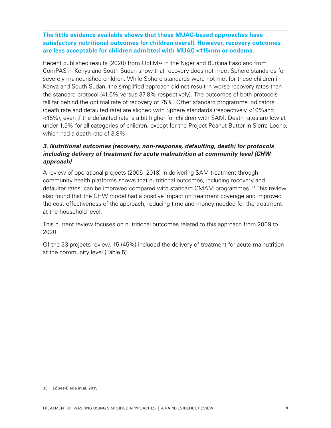**The little evidence available shows that these MUAC-based approaches have satisfactory nutritional outcomes for children overall. However, recovery outcomes are less acceptable for children admitted with MUAC <115mm or oedema.** 

Recent published results (2020) from OptiMA in the Niger and Burkina Faso and from ComPAS in Kenya and South Sudan show that recovery does not meet Sphere standards for severely malnourished children. While Sphere standards were not met for these children in Kenya and South Sudan, the simplified approach did not result in worse recovery rates than the standard protocol (41.6% versus 37.8% respectively). The outcomes of both protocols fall far behind the optimal rate of recovery of 75%. Other standard programme indicators (death rate and defaulted rate) are aligned with Sphere standards (respectively <10%and <15%), even if the defaulted rate is a bit higher for children with SAM. Death rates are low at under 1.5% for all categories of children, except for the Project Peanut Butter in Sierra Leone, which had a death rate of 3.8%.

## *3. Nutritional outcomes (recovery, non-response, defaulting, death) for protocols including delivery of treatment for acute malnutrition at community level (CHW approach)*

A review of operational projects (2005–2018) in delivering SAM treatment through community health platforms shows that nutritional outcomes, including recovery and defaulter rates, can be improved compared with standard CMAM programmes.<sup>33</sup> This review also found that the CHW model had a positive impact on treatment coverage and improved the cost-effectiveness of the approach, reducing time and money needed for the treatment at the household level.

This current review focuses on nutritional outcomes related to this approach from 2009 to 2020.

Of the 33 projects review, 15 (45%) included the delivery of treatment for acute malnutrition at the community level (Table 5).

<sup>33</sup> López-Ejeda et al, 2019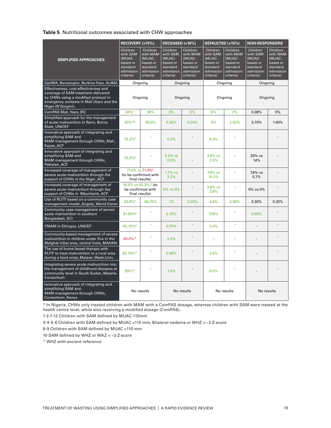#### **Table 5.** Nutritional outcomes associated with CHW approaches

|                                                                                                                                                                                       | RECOVERY (>75%)                                                                  |                                                                                  | DECEASED (<10%)                                                                  |                                                                                  | DEFAULTED (<15%)                                                                 |                                                                                  | <b>NON-RESPONDERS</b>                                                            |                                                                                  |
|---------------------------------------------------------------------------------------------------------------------------------------------------------------------------------------|----------------------------------------------------------------------------------|----------------------------------------------------------------------------------|----------------------------------------------------------------------------------|----------------------------------------------------------------------------------|----------------------------------------------------------------------------------|----------------------------------------------------------------------------------|----------------------------------------------------------------------------------|----------------------------------------------------------------------------------|
| <b>SIMPLIFIED APPROACHES</b>                                                                                                                                                          | Children<br>with SAM<br>(MUAC-<br>based or<br>standard<br>admission<br>criteria) | Children<br>with MAM<br>(MUAC-<br>based or<br>standard<br>admission<br>criteria) | Children<br>with SAM<br>(MUAC-<br>based or<br>standard<br>admission<br>criteria) | Children<br>with MAM<br>(MUAC-<br>based or<br>standard<br>admission<br>criteria) | Children<br>with SAM<br>(MUAC-<br>based or<br>standard<br>admission<br>criteria) | Children<br>with MAM<br>(MUAC-<br>based or<br>standard<br>admission<br>criteria) | Children<br>with SAM<br>(MUAC-<br>based or<br>standard<br>admission<br>criteria) | Children<br>with MAM<br>(MUAC-<br>based or<br>standard<br>admission<br>criteria) |
| OptiMA_Barsalogho_Burkina Faso_ALIMA                                                                                                                                                  | Ongoing                                                                          |                                                                                  |                                                                                  | Ongoing                                                                          |                                                                                  | Ongoing                                                                          | Ongoing                                                                          |                                                                                  |
| Effectiveness, cost-effectiveness and<br>coverage of SAM treatment delivered<br>by CHWs using a modified protocol in<br>emergency contexts in Mali (Gao) and the<br>Niger (N'Guigmi). | Ongoing                                                                          |                                                                                  | Ongoing                                                                          |                                                                                  |                                                                                  | Ongoing                                                                          | Ongoing                                                                          |                                                                                  |
| ComPAS Mali_Nara_IRC                                                                                                                                                                  | 94%1                                                                             | 98%                                                                              | 0%                                                                               | 0%                                                                               | 6%                                                                               | 2%                                                                               | 0.08%                                                                            | 0%                                                                               |
| Simplified approach for the management<br>of acute malnutrition in Rann, Borno<br><b>State UNICEF</b>                                                                                 | 90%*2                                                                            | 95.9%                                                                            | 0.30%                                                                            | 0.20%                                                                            | 6%                                                                               | 2.50%                                                                            | 3.70%                                                                            | 1.40%                                                                            |
| Innovative approach of integrating and<br>simplifying SAM and<br>MAM management through CHWs_Mali_<br><b>Kayes ACF</b>                                                                | 79.2% <sup>3</sup>                                                               |                                                                                  | 0.2%                                                                             |                                                                                  | 6.3%                                                                             |                                                                                  |                                                                                  |                                                                                  |
| Innovative approach of integrating and<br>simplifying SAM and<br>MAM management through CHWs_<br>Pakistan ACF                                                                         | 76.0% <sup>4</sup>                                                               |                                                                                  | $0.2%$ vs<br>0.5%                                                                |                                                                                  | 3.8% vs<br>2.5%                                                                  |                                                                                  | 20% vs<br>14%                                                                    |                                                                                  |
| Increased coverage of management of<br>severe acute malnutrition through the<br>support of CHWs in the Niger_ACF                                                                      |                                                                                  | 77.4% vs 71.9% <sup>5</sup><br>(to be confirmed with<br>final results)           |                                                                                  |                                                                                  | 7.6% vs<br>10.2%                                                                 |                                                                                  | 7.6% vs<br>5.7%                                                                  |                                                                                  |
| Increased coverage of management of<br>severe acute malnutrition through the<br>support of CHWs in Mauritanie ACF                                                                     | be confirmed with<br>final results)                                              | 76.5% vs 82.3%. <sup>6</sup> (to                                                 | 0% vs 0%                                                                         |                                                                                  | $3.6%$ vs<br>3.8%                                                                | L.                                                                               | 0% vs 0%                                                                         |                                                                                  |
| Use of RUTF based on a community case<br>management model_Angola_World Vision                                                                                                         | 93.8%7                                                                           | 96.70%                                                                           | 1%                                                                               | 0.20%                                                                            | 4.8%                                                                             | 2.90%                                                                            | 0.30%                                                                            | 0.20%                                                                            |
| Community case management of severe<br>acute malnutrition in southern<br>Bangladesh SCI                                                                                               | 91.90%8                                                                          |                                                                                  | 0.10%                                                                            |                                                                                  | 7.50%                                                                            |                                                                                  | 0.60%                                                                            |                                                                                  |
| <b>CMAM in Ethiopia_UNICEF</b>                                                                                                                                                        | 82.10% <sup>9</sup>                                                              | $\overline{\phantom{a}}$                                                         | 0.70%                                                                            | ÷,                                                                               | 5.0%                                                                             | $\overline{a}$                                                                   |                                                                                  |                                                                                  |
| Community-based management of severe<br>malnutrition in children under five in the<br>Melghat tribal area, central India MAHAN                                                        | 63.0%10                                                                          |                                                                                  | 2.0%                                                                             |                                                                                  |                                                                                  |                                                                                  |                                                                                  |                                                                                  |
| The use of home-based therapy with<br>RUTF to treat malnutrition in a rural area<br>during a food crisis_Malawi_Wash.Univ.                                                            | 93.70% <sup>11</sup>                                                             |                                                                                  | 0.90%                                                                            |                                                                                  | 3.6%                                                                             |                                                                                  |                                                                                  |                                                                                  |
| Integrating severe acute malnutrition into<br>the management of childhood diseases at<br>community level in South Sudan Malaria<br>Consortium                                         | 89%12                                                                            |                                                                                  | 1.0%                                                                             |                                                                                  | 6.0%                                                                             |                                                                                  |                                                                                  |                                                                                  |
| Innovative approach of integrating and<br>simplifying SAM and<br>MAM management through CHWs_<br>Consortium Kenya                                                                     | No results                                                                       |                                                                                  | No results                                                                       |                                                                                  | No results                                                                       |                                                                                  | No results                                                                       |                                                                                  |

\* In Nigeria, CHWs only treated children with MAM with a ComPAS dosage, whereas children with SAM were treated at the health centre level, while also receiving a modified dosage (ComPAS).

1-2-7-12 Children with SAM defined by MUAC-115mm

3-4-5-6 Children with SAM defined by MUAC <115 mm; Bilateral oedema or WHZ <−3 Z-score

8-9 Children with SAM defined by MUAC <110 mm

10 SAM defined by WHZ or WAZ < −3 Z-score

11 WHZ with ancient reference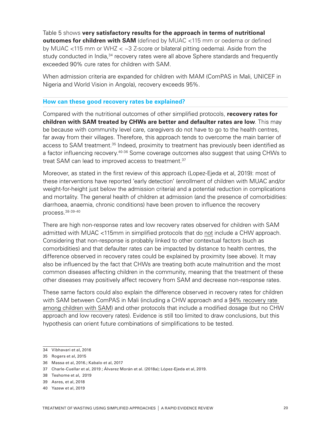Table 5 shows **very satisfactory results for the approach in terms of nutritional outcomes for children with SAM** (defined by MUAC <115 mm or oedema or defined by MUAC <115 mm or WHZ < −3 Z-score or bilateral pitting oedema). Aside from the study conducted in India,<sup>34</sup> recovery rates were all above Sphere standards and frequently exceeded 90% cure rates for children with SAM.

When admission criteria are expanded for children with MAM (ComPAS in Mali, UNICEF in Nigeria and World Vision in Angola), recovery exceeds 95%.

#### **How can these good recovery rates be explained?**

Compared with the nutritional outcomes of other simplified protocols, **recovery rates for children with SAM treated by CHWs are better and defaulter rates are low**. This may be because with community level care, caregivers do not have to go to the health centres, far away from their villages. Therefore, this approach tends to overcome the main barrier of access to SAM treatment.<sup>35</sup> Indeed, proximity to treatment has previously been identified as a factor influencing recovery.<sup>40-36</sup> Some coverage outcomes also suggest that using CHWs to treat SAM can lead to improved access to treatment.<sup>37</sup>

Moreover, as stated in the first review of this approach (Lopez-Ejeda et al, 2019): most of these interventions have reported 'early detection' (enrollment of children with MUAC and/or weight-for-height just below the admission criteria) and a potential reduction in complications and mortality. The general health of children at admission (and the presence of comorbidities: diarrhoea, anaemia, chronic conditions) have been proven to influence the recovery process.38-39-40

There are high non-response rates and low recovery rates observed for children with SAM admitted with MUAC <115mm in simplified protocols that do not include a CHW approach. Considering that non-response is probably linked to other contextual factors (such as comorbidities) and that defaulter rates can be impacted by distance to health centres, the difference observed in recovery rates could be explained by proximity (see above). It may also be influenced by the fact that CHWs are treating both acute malnutrition and the most common diseases affecting children in the community, meaning that the treatment of these other diseases may positively affect recovery from SAM and decrease non-response rates.

These same factors could also explain the difference observed in recovery rates for children with SAM between ComPAS in Mali (including a CHW approach and a 94% recovery rate among children with SAM) and other protocols that include a modified dosage (but no CHW approach and low recovery rates). Evidence is still too limited to draw conclusions, but this hypothesis can orient future combinations of simplifications to be tested.

<sup>34</sup> Vibhavari et al, 2016

<sup>35</sup> Rogers et al, 2015

<sup>36</sup> Massa et al, 2016.; Kabalo et al, 2017

<sup>37</sup> Charle-Cuellar et al, 2019 ; Álvarez Morán et al. (2018a); López-Ejeda et al, 2019.

<sup>38</sup> Teshome et al, 2019

<sup>39</sup> Asres, et al, 2018

<sup>40</sup> Yazew et al, 2019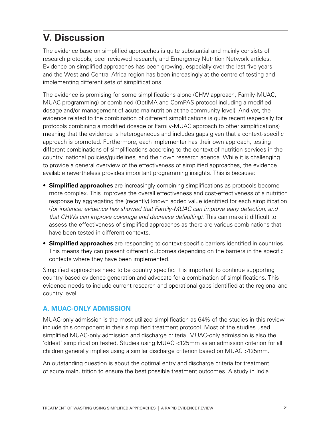# **V. Discussion**

The evidence base on simplified approaches is quite substantial and mainly consists of research protocols, peer reviewed research, and Emergency Nutrition Network articles. Evidence on simplified approaches has been growing, especially over the last five years and the West and Central Africa region has been increasingly at the centre of testing and implementing different sets of simplifications.

The evidence is promising for some simplifications alone (CHW approach, Family-MUAC, MUAC programming) or combined (OptiMA and ComPAS protocol including a modified dosage and/or management of acute malnutrition at the community level). And yet, the evidence related to the combination of different simplifications is quite recent (especially for protocols combining a modified dosage or Family-MUAC approach to other simplifications) meaning that the evidence is heterogeneous and includes gaps given that a context-specific approach is promoted. Furthermore, each implementer has their own approach, testing different combinations of simplifications according to the context of nutrition services in the country, national policies/guidelines, and their own research agenda. While it is challenging to provide a general overview of the effectiveness of simplified approaches, the evidence available nevertheless provides important programming insights. This is because:

- **Simplified approaches** are increasingly combining simplifications as protocols become more complex. This improves the overall effectiveness and cost-effectiveness of a nutrition response by aggregating the (recently) known added value identified for each simplification (*for instance: evidence has showed that Family-MUAC can improve early detection, and that CHWs can improve coverage and decrease defaulting)*. This can make it difficult to assess the effectiveness of simplified approaches as there are various combinations that have been tested in different contexts.
- **Simplified approaches** are responding to context-specific barriers identified in countries. This means they can present different outcomes depending on the barriers in the specific contexts where they have been implemented.

Simplified approaches need to be country specific. It is important to continue supporting country-based evidence generation and advocate for a combination of simplifications. This evidence needs to include current research and operational gaps identified at the regional and country level.

## **A. MUAC-ONLY ADMISSION**

MUAC-only admission is the most utilized simplification as 64% of the studies in this review include this component in their simplified treatment protocol. Most of the studies used simplified MUAC-only admission and discharge criteria. MUAC-only admission is also the 'oldest' simplification tested. Studies using MUAC <125mm as an admission criterion for all children generally implies using a similar discharge criterion based on MUAC >125mm.

An outstanding question is about the optimal entry and discharge criteria for treatment of acute malnutrition to ensure the best possible treatment outcomes. A study in India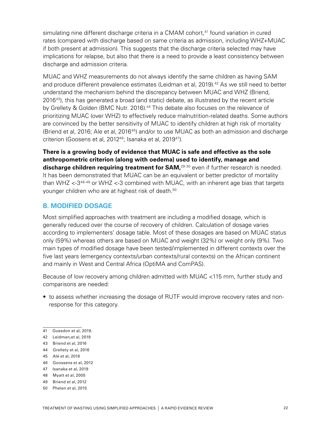simulating nine different discharge criteria in a CMAM cohort,<sup>41</sup> found variation in cured rates (compared with discharge based on same criteria as admission, including WHZ+MUAC if both present at admission). This suggests that the discharge criteria selected may have implications for relapse, but also that there is a need to provide a least consistency between discharge and admission criteria.

MUAC and WHZ measurements do not always identify the same children as having SAM and produce different prevalence estimates (Leidman et al, 2019).<sup>42</sup> As we still need to better understand the mechanism behind the discrepancy between MUAC and WHZ (Briend, 2016<sup>43</sup>), this has generated a broad (and static) debate, as illustrated by the recent article by Grellety & Golden (BMC Nutr. 2016).<sup>44</sup> This debate also focuses on the relevance of prioritizing MUAC (over WHZ) to effectively reduce malnutrition-related deaths. Some authors are convinced by the better sensitivity of MUAC to identify children at high risk of mortality (Briend et al, 2016; Ale et al, 2016<sup>45</sup>) and/or to use MUAC as both an admission and discharge criterion (Goosens et al, 2012<sup>46</sup>; Isanaka et al, 2019<sup>47</sup>).

**There is a growing body of evidence that MUAC is safe and effective as the sole anthropometric criterion (along with oedema) used to identify, manage and**  discharge children requiring treatment for SAM,<sup>29-30</sup> even if further research is needed. It has been demonstrated that MUAC can be an equivalent or better predictor of mortality than WHZ  $<-3^{48-49}$  or WHZ  $<-3$  combined with MUAC, with an inherent age bias that targets younger children who are at highest risk of death.<sup>50</sup>

## **B. MODIFIED DOSAGE**

Most simplified approaches with treatment are including a modified dosage, which is generally reduced over the course of recovery of children. Calculation of dosage varies according to implementers' dosage table. Most of these dosages are based on MUAC status only (59%) whereas others are based on MUAC and weight (32%) or weight only (9%). Two main types of modified dosage have been tested/implemented in different contexts over the five last years (emergency contexts/urban contexts/rural contexts) on the African continent and mainly in West and Central Africa (OptiMA and ComPAS).

Because of low recovery among children admitted with MUAC <115 mm, further study and comparisons are needed:

• to assess whether increasing the dosage of RUTF would improve recovery rates and nonresponse for this category.

- 42 Leidman,et al, 2019
- 43 Briend et al, 2016
- 44 Grellety et al, 2016
- 45 Alé et al, 2016
- 46 Goossens et al, 2012
- 47 Isanaka et al, 2019
- 48 Myatt et al, 2005
- 49 Briend et al, 2012
- 50 Phelan et al, 2015

<sup>41</sup> Guesdon et al, 2019.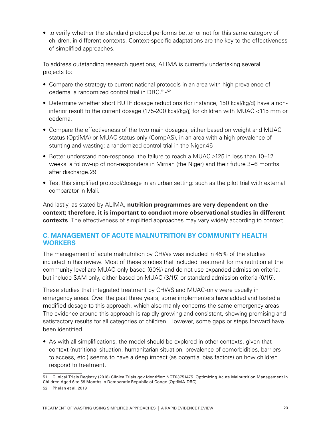• to verify whether the standard protocol performs better or not for this same category of children, in different contexts. Context-specific adaptations are the key to the effectiveness of simplified approaches.

To address outstanding research questions, ALIMA is currently undertaking several projects to:

- Compare the strategy to current national protocols in an area with high prevalence of oedema: a randomized control trial in DRC.<sup>51</sup>-<sup>52</sup>
- Determine whether short RUTF dosage reductions (for instance, 150 kcal/kg/d) have a noninferior result to the current dosage (175-200 kcal/kg/j) for children with MUAC <115 mm or oedema.
- Compare the effectiveness of the two main dosages, either based on weight and MUAC status (OptiMA) or MUAC status only (CompAS), in an area with a high prevalence of stunting and wasting: a randomized control trial in the Niger.46
- Better understand non-response, the failure to reach a MUAC ≥125 in less than 10–12 weeks: a follow-up of non-responders in Mirriah (the Niger) and their future 3–6 months after discharge.29
- Test this simplified protocol/dosage in an urban setting: such as the pilot trial with external comparator in Mali.

And lastly, as stated by ALIMA, **nutrition programmes are very dependent on the context; therefore, it is important to conduct more observational studies in different contexts**. The effectiveness of simplified approaches may vary widely according to context.

## **C. MANAGEMENT OF ACUTE MALNUTRITION BY COMMUNITY HEALTH WORKERS**

The management of acute malnutrition by CHWs was included in 45% of the studies included in this review. Most of these studies that included treatment for malnutrition at the community level are MUAC-only based (60%) and do not use expanded admission criteria, but include SAM only, either based on MUAC (3/15) or standard admission criteria (6/15).

These studies that integrated treatment by CHWS and MUAC-only were usually in emergency areas. Over the past three years, some implementers have added and tested a modified dosage to this approach, which also mainly concerns the same emergency areas. The evidence around this approach is rapidly growing and consistent, showing promising and satisfactory results for all categories of children. However, some gaps or steps forward have been identified.

• As with all simplifications, the model should be explored in other contexts, given that context (nutritional situation, humanitarian situation, prevalence of comorbidities, barriers to access, etc.) seems to have a deep impact (as potential bias factors) on how children respond to treatment.

<sup>51</sup> Clinical Trials Registry (2018) ClinicalTrials.gov Identifier: NCT03751475. Optimizing Acute Malnutrition Management in Children Aged 6 to 59 Months in Democratic Republic of Congo (OptiMA-DRC).

<sup>52</sup> Phelan et al, 2019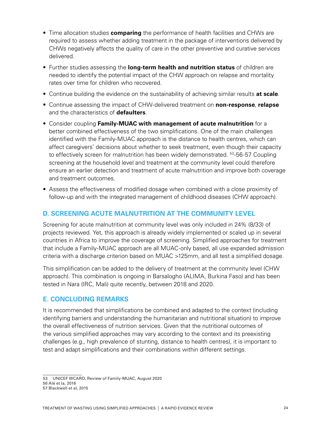- Time allocation studies **comparing** the performance of health facilities and CHWs are required to assess whether adding treatment in the package of interventions delivered by CHWs negatively affects the quality of care in the other preventive and curative services delivered.
- Further studies assessing the **long-term health and nutrition status** of children are needed to identify the potential impact of the CHW approach on relapse and mortality rates over time for children who recovered.
- Continue building the evidence on the sustainability of achieving similar results **at scale**.
- Continue assessing the impact of CHW-delivered treatment on **non-response**, **relapse** and the characteristics of **defaulters**.
- Consider coupling **Family-MUAC with management of acute malnutrition** for a better combined effectiveness of the two simplifications. One of the main challenges identified with the Family-MUAC approach is the distance to health centres, which can affect caregivers' decisions about whether to seek treatment, even though their capacity to effectively screen for malnutrition has been widely demonstrated. <sup>53</sup>-56-57 Coupling screening at the household level and treatment at the community level could therefore ensure an earlier detection and treatment of acute malnutrition and improve both coverage and treatment outcomes.
- Assess the effectiveness of modified dosage when combined with a close proximity of follow-up and with the integrated management of childhood diseases (CHW approach).

#### **D. SCREENING ACUTE MALNUTRITION AT THE COMMUNITY LEVEL**

Screening for acute malnutrition at community level was only included in 24% (8/33) of projects reviewed. Yet, this approach is already widely implemented or scaled up in several countries in Africa to improve the coverage of screening. Simplified approaches for treatment that include a Family-MUAC approach are all MUAC-only based, all use expanded admission criteria with a discharge criterion based on MUAC >125mm, and all test a simplified dosage.

This simplification can be added to the delivery of treatment at the community level (CHW approach). This combination is ongoing in Barsalogho (ALIMA, Burkina Faso) and has been tested in Nara (IRC, Mali) quite recently, between 2018 and 2020.

#### **E. CONCLUDING REMARKS**

It is recommended that simplifications be combined and adapted to the context (including identifying barriers and understanding the humanitarian and nutritional situation) to improve the overall effectiveness of nutrition services. Given that the nutritional outcomes of the various simplified approaches may vary according to the context and its preexisting challenges (e.g., high prevalence of stunting, distance to health centres), it is important to test and adapt simplifications and their combinations within different settings.

<sup>53</sup> UNICEF WCARO, Review of Family-MUAC, August 2020

<sup>56</sup> Alé et la, 2016

<sup>57</sup> Blackwell et al, 2015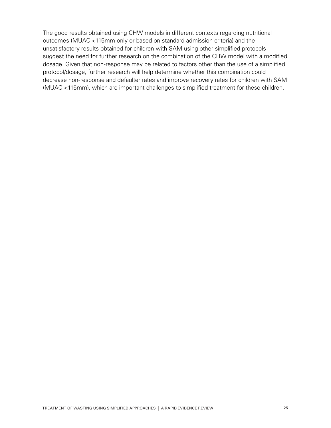The good results obtained using CHW models in different contexts regarding nutritional outcomes (MUAC <115mm only or based on standard admission criteria) and the unsatisfactory results obtained for children with SAM using other simplified protocols suggest the need for further research on the combination of the CHW model with a modified dosage. Given that non-response may be related to factors other than the use of a simplified protocol/dosage, further research will help determine whether this combination could decrease non-response and defaulter rates and improve recovery rates for children with SAM (MUAC <115mm), which are important challenges to simplified treatment for these children.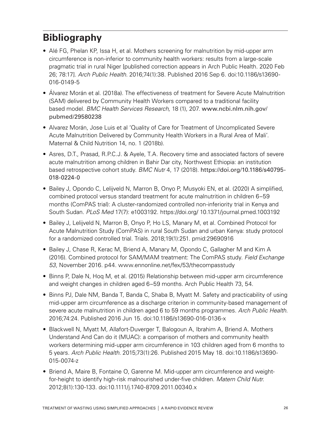# **Bibliography**

- Alé FG, Phelan KP, Issa H, et al. Mothers screening for malnutrition by mid-upper arm circumference is non-inferior to community health workers: results from a large-scale pragmatic trial in rural Niger [published correction appears in Arch Public Health. 2020 Feb 26; 78:17]. *Arch Public Health*. 2016;74(1):38. Published 2016 Sep 6. doi:10.1186/s13690- 016-0149-5
- Álvarez Morán et al. (2018a). The effectiveness of treatment for Severe Acute Malnutrition (SAM) delivered by Community Health Workers compared to a traditional facility based model. *BMC Health Services Research,* 18 (1), 207. [www.ncbi.nlm.nih.gov/](http://www.ncbi.nlm.nih.gov/pubmed/29580238) [pubmed/29580238](http://www.ncbi.nlm.nih.gov/pubmed/29580238)
- Alvarez Morán, Jose Luis et al 'Quality of Care for Treatment of Uncomplicated Severe Acute Malnutrition Delivered by Community Health Workers in a Rural Area of Mali'. Maternal & Child Nutrition 14, no. 1 (2018b).
- Asres, D.T., Prasad, R.P.C.J. & Ayele, T.A. Recovery time and associated factors of severe acute malnutrition among children in Bahir Dar city, Northwest Ethiopia: an institution based retrospective cohort study. *BMC Nutr* 4, 17 (2018). [https://doi.org/10.1186/s40795-](https://doi.org/10.1186/s40795-018-0224-0) [018-0224-0](https://doi.org/10.1186/s40795-018-0224-0)
- Bailey J, Opondo C, Lelijveld N, Marron B, Onyo P, Musyoki EN, et al. (2020) A simplified, combined protocol versus standard treatment for acute malnutrition in children 6–59 months (ComPAS trial): A cluster-randomized controlled non-inferiority trial in Kenya and South Sudan. *PLoS Med* 17(7): e1003192. https://doi.org/ 10.1371/journal.pmed.1003192
- Bailey J, Lelijveld N, Marron B, Onyo P, Ho LS, Manary M, et al. Combined Protocol for Acute Malnutrition Study (ComPAS) in rural South Sudan and urban Kenya: study protocol for a randomized controlled trial. Trials. 2018;19(1):251. pmid:29690916
- Bailey J, Chase R, Kerac M, Briend A, Manary M, Opondo C, Gallagher M and Kim A (2016). Combined protocol for SAM/MAM treatment: The ComPAS study. *Field Exchange 53*, November 2016. p44. www.ennonline.net/fex/53/thecompasstudy
- Binns P, Dale N, Hoq M, et al. (2015) Relationship between mid-upper arm circumference and weight changes in children aged 6–59 months. Arch Public Health 73, 54.
- Binns PJ, Dale NM, Banda T, Banda C, Shaba B, Myatt M. Safety and practicability of using mid-upper arm circumference as a discharge criterion in community-based management of severe acute malnutrition in children aged 6 to 59 months programmes. *Arch Public Health.* 2016;74:24. Published 2016 Jun 15. doi:10.1186/s13690-016-0136-x
- Blackwell N, Myatt M, Allafort-Duverger T, Balogoun A, Ibrahim A, Briend A. Mothers Understand And Can do it (MUAC): a comparison of mothers and community health workers determining mid-upper arm circumference in 103 children aged from 6 months to 5 years. *Arch Public Health.* 2015;73(1):26. Published 2015 May 18. doi:10.1186/s13690- 015-0074-z
- Briend A, Maire B, Fontaine O, Garenne M. Mid-upper arm circumference and weightfor-height to identify high-risk malnourished under-five children. *Matern Child Nutr.*  2012;8(1):130-133. doi:10.1111/j.1740-8709.2011.00340.x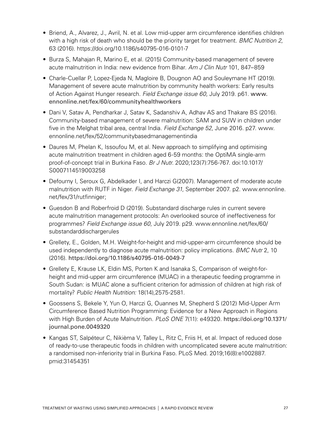- Briend, A., Alvarez, J., Avril, N. et al. Low mid-upper arm circumference identifies children with a high risk of death who should be the priority target for treatment. *BMC Nutrition 2*, 63 (2016).<https://doi.org/10.1186/s40795-016-0101-7>
- Burza S, Mahajan R, Marino E, et al. (2015) Community-based management of severe acute malnutrition in India: new evidence from Bihar. *Am J Clin Nutr* 101, 847–859
- Charle-Cuellar P, Lopez-Ejeda N, Magloire B, Dougnon AO and Souleymane HT (2019). Management of severe acute malnutrition by community health workers: Early results of Action Against Hunger research. *Field Exchange issue 60*, July 2019. p61. [www.](http://www.ennonline.net/fex/60/communityhealthworkers) [ennonline.net/fex/60/communityhealthworkers](http://www.ennonline.net/fex/60/communityhealthworkers)
- Dani V, Satav A, Pendharkar J, Satav K, Sadanshiv A, Adhav AS and Thakare BS (2016). Community-based management of severe malnutrition: SAM and SUW in children under five in the Melghat tribal area, central India. *Field Exchange 52*, June 2016. p27. www. ennonline.net/fex/52/communitybasedmanagementindia
- Daures M, Phelan K, Issoufou M, et al. New approach to simplifying and optimising acute malnutrition treatment in children aged 6-59 months: the OptiMA single-arm proof-of-concept trial in Burkina Faso. *Br J Nutr.* 2020;123(7):756-767. doi:10.1017/ S0007114519003258
- Defourny I, Seroux G, Abdelkader I, and Harczi G(2007). Management of moderate acute malnutrition with RUTF in Niger. *Field Exchange 31*, September 2007. p2. www.ennonline. net/fex/31/rutfinniger;
- Guesdon B and Roberfroid D (2019). Substandard discharge rules in current severe acute malnutrition management protocols: An overlooked source of ineffectiveness for programmes? *Field Exchange issue 60*, July 2019. p29. www.ennonline.net/fex/60/ substandarddischargerules
- Grellety, E., Golden, M.H. Weight-for-height and mid-upper-arm circumference should be used independently to diagnose acute malnutrition: policy implications. *BMC Nutr* 2, 10 (2016). <https://doi.org/10.1186/s40795-016-0049-7>
- Grellety E, Krause LK, Eldin MS, Porten K and Isanaka S, Comparison of weight-forheight and mid-upper arm circumference (MUAC) in a therapeutic feeding programme in South Sudan: is MUAC alone a sufficient criterion for admission of children at high risk of mortality? *Public Health Nutrition:* 18(14),2575-2581.
- Goossens S, Bekele Y, Yun O, Harczi G, Ouannes M, Shepherd S (2012) Mid-Upper Arm Circumference Based Nutrition Programming: Evidence for a New Approach in Regions with High Burden of Acute Malnutrition. *PLoS ONE* 7(11): e49320. [https://doi.org/10.1371/](https://doi.org/10.1371/journal.pone.0049320) [journal.pone.0049320](https://doi.org/10.1371/journal.pone.0049320)
- Kangas ST, Salpéteur C, Nikièma V, Talley L, Ritz C, Friis H, et al. Impact of reduced dose of ready-to-use therapeutic foods in children with uncomplicated severe acute malnutrition: a randomised non-inferiority trial in Burkina Faso. PLoS Med. 2019;16(8):e1002887. pmid:31454351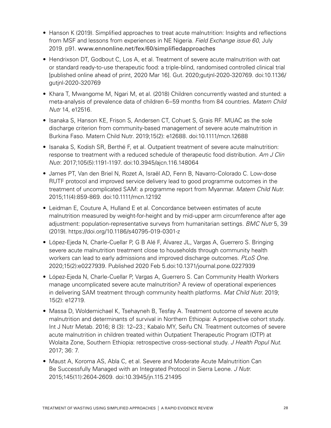- Hanson K (2019). Simplified approaches to treat acute malnutrition: Insights and reflections from MSF and lessons from experiences in NE Nigeria. *Field Exchange issue 60*, July 2019. p91. [www.ennonline.net/fex/60/simplifiedapproaches](http://www.ennonline.net/fex/60/simplifiedapproaches)
- Hendrixson DT, Godbout C, Los A, et al. Treatment of severe acute malnutrition with oat or standard ready-to-use therapeutic food: a triple-blind, randomised controlled clinical trial [published online ahead of print, 2020 Mar 16]. Gut. 2020;gutjnl-2020-320769. doi:10.1136/ gutjnl-2020-320769
- Khara T, Mwangome M, Ngari M, et al. (2018) Children concurrently wasted and stunted: a meta-analysis of prevalence data of children 6–59 months from 84 countries. *Matern Child Nutr* 14, e12516.
- Isanaka S, Hanson KE, Frison S, Andersen CT, Cohuet S, Grais RF. MUAC as the sole discharge criterion from community-based management of severe acute malnutrition in Burkina Faso. Matern Child Nutr. 2019;15(2): e12688. doi:10.1111/mcn.12688
- Isanaka S, Kodish SR, Berthé F, et al. Outpatient treatment of severe acute malnutrition: response to treatment with a reduced schedule of therapeutic food distribution. *Am J Clin Nutr.* 2017;105(5):1191-1197. doi:10.3945/ajcn.116.148064
- James PT, Van den Briel N, Rozet A, Israël AD, Fenn B, Navarro-Colorado C. Low-dose RUTF protocol and improved service delivery lead to good programme outcomes in the treatment of uncomplicated SAM: a programme report from Myanmar. *Matern Child Nutr.*  2015;11(4):859-869. doi:10.1111/mcn.12192
- Leidman E, Couture A, Hulland E et al. Concordance between estimates of acute malnutrition measured by weight-for-height and by mid-upper arm circumference after age adjustment: population-representative surveys from humanitarian settings. *BMC Nutr* 5, 39 (2019). https://doi.org/10.1186/s40795-019-0301-z
- López-Ejeda N, Charle-Cuellar P, G B Alé F, Álvarez JL, Vargas A, Guerrero S. Bringing severe acute malnutrition treatment close to households through community health workers can lead to early admissions and improved discharge outcomes. *PLoS One.*  2020;15(2):e0227939. Published 2020 Feb 5.doi:10.1371/journal.pone.0227939
- López-Ejeda N, Charle-Cuellar P, Vargas A, Guerrero S. Can Community Health Workers manage uncomplicated severe acute malnutrition? A review of operational experiences in delivering SAM treatment through community health platforms. *Mat Child Nutr.* 2019; 15(2): e12719.
- Massa D, Woldemichael K, Tsehayneh B, Tesfay A. Treatment outcome of severe acute malnutrition and determinants of survival in Northern Ethiopia: A prospective cohort study. Int J Nutr Metab. 2016; 8 (3): 12–23.; Kabalo MY, Seifu CN. Treatment outcomes of severe acute malnutrition in children treated within Outpatient Therapeutic Program (OTP) at Wolaita Zone, Southern Ethiopia: retrospective cross-sectional study. *J Health Popul Nut.*  2017; 36: 7.
- Maust A, Koroma AS, Abla C, et al. Severe and Moderate Acute Malnutrition Can Be Successfully Managed with an Integrated Protocol in Sierra Leone. *J Nutr.*  2015;145(11):2604-2609. doi:10.3945/jn.115.21495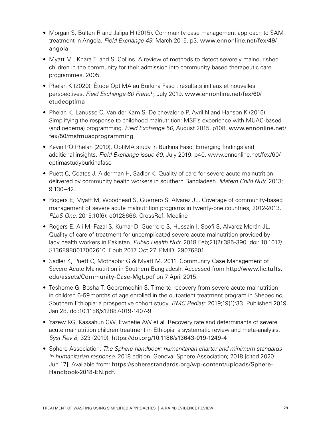- Morgan S, Bulten R and Jalipa H (2015). Community case management approach to SAM treatment in Angola. *Field Exchange 49,* March 2015. p3. www.ennonline.net/fex/49/ angola
- Myatt M., Khara T. and S. Collins. A review of methods to detect severely malnourished children in the community for their admission into community based therapeutic care programmes. 2005.
- Phelan K (2020). Étude OptiMA au Burkina Faso : résultats initiaux et nouvelles perspectives. *Field Exchange 60 French,* July 2019. [www.ennonline.net/fex/60/](http://www.ennonline.net/fex/60/etudeoptima) [etudeoptima](http://www.ennonline.net/fex/60/etudeoptima)
- Phelan K, Lanusse C, Van der Kam S, Delchevalerie P, Avril N and Hanson K (2015). Simplifying the response to childhood malnutrition: MSF's experience with MUAC-based (and oedema) programming. *Field Exchange 50,* August 2015. p108. [www.ennonline.net/](http://www.ennonline.net/fex/50/msfmuacprogramming) [fex/50/msfmuacprogramming](http://www.ennonline.net/fex/50/msfmuacprogramming)
- Kevin PQ Phelan (2019). OptiMA study in Burkina Faso: Emerging findings and additional insights. *Field Exchange issue 60*, July 2019. p40. www.ennonline.net/fex/60/ optimastudyburkinafaso
- Puett C, Coates J, Alderman H, Sadler K. Quality of care for severe acute malnutrition delivered by community health workers in southern Bangladesh. *Matern Child Nutr.* 2013; 9:130–42.
- Rogers E, Myatt M, Woodhead S, Guerrero S, Alvarez JL. Coverage of community-based management of severe acute malnutrition programs in twenty-one countries, 2012-2013. *PLoS One*. 2015;10(6): e0128666. CrossRef. Medline
- Rogers E, Ali M, Fazal S, Kumar D, Guerrero S, Hussain I, Soofi S, Alvarez Morán JL. Quality of care of treatment for uncomplicated severe acute malnutrition provided by lady health workers in Pakistan. *Public Health Nutr.* 2018 Feb;21(2):385-390. doi: 10.1017/ S1368980017002610. Epub 2017 Oct 27. PMID: 29076801.
- Sadler K, Puett C, Mothabbir G & Myatt M. 2011. Community Case Management of Severe Acute Malnutrition in Southern Bangladesh. Accessed from [http://www.fic.tufts.](http://www.fic.tufts.edu/assets/Community-Case-Mgt.pdf%20on%207%20April%202015) [edu/assets/Community-Case-Mgt.pdf](http://www.fic.tufts.edu/assets/Community-Case-Mgt.pdf%20on%207%20April%202015) on 7 April 2015.
- Teshome G, Bosha T, Gebremedhin S. Time-to-recovery from severe acute malnutrition in children 6-59months of age enrolled in the outpatient treatment program in Shebedino, Southern Ethiopia: a prospective cohort study. *BMC Pediatr.* 2019;19(1):33. Published 2019 Jan 28. doi:10.1186/s12887-019-1407-9
- Yazew KG, Kassahun CW, Ewnetie AW et al. Recovery rate and determinants of severe acute malnutrition children treatment in Ethiopia: a systematic review and meta-analysis. *Syst Rev 8*, 323 (2019). <https://doi.org/10.1186/s13643-019-1249-4>
- Sphere Association. *The Sphere handbook: humanitarian charter and minimum standards in humanitarian response.* 2018 edition. Geneva: Sphere Association; 2018 [cited 2020 Jun 17]. Available from: [https://spherestandards.org/wp-content/uploads/Sphere-](https://spherestandards.org/wp-content/uploads/Sphere-Handbook-2018-EN.pdf)[Handbook-2018-EN.pdf.](https://spherestandards.org/wp-content/uploads/Sphere-Handbook-2018-EN.pdf)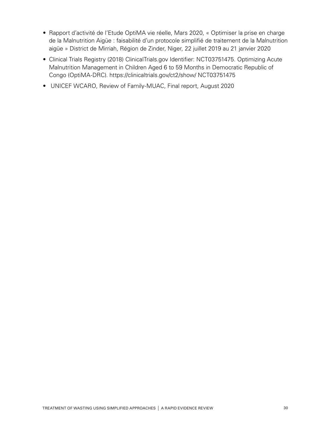- Rapport d'activité de l'Etude OptiMA vie réelle, Mars 2020, « Optimiser la prise en charge de la Malnutrition Aigüe : faisabilité d'un protocole simplifié de traitement de la Malnutrition aigüe » District de Mirriah, Région de Zinder, Niger, 22 juillet 2019 au 21 janvier 2020
- Clinical Trials Registry (2018) ClinicalTrials.gov Identifier: NCT03751475. Optimizing Acute Malnutrition Management in Children Aged 6 to 59 Months in Democratic Republic of Congo (OptiMA-DRC). https://clinicaltrials.gov/ct2/show/ NCT03751475
- UNICEF WCARO, Review of Family-MUAC, Final report, August 2020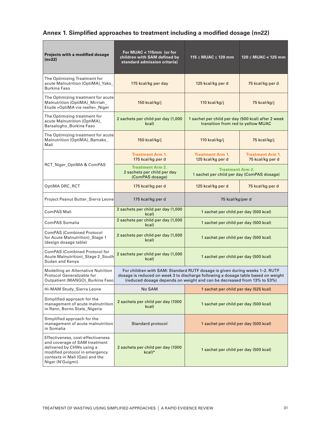## **Annex 1. Simplified approaches to treatment including a modified dosage (n=22)**

| Projects with a modified dosage<br>$(n=22)$                                                                                                                                              | For MUAC < 115mm (or for<br>children with SAM defined by<br>standard admission criteria)                                                                                                                                                    | 115 ≤ MUAC ≤ 120 mm                                                                      | $120 \leq MUAC < 125$ mm                    |  |  |
|------------------------------------------------------------------------------------------------------------------------------------------------------------------------------------------|---------------------------------------------------------------------------------------------------------------------------------------------------------------------------------------------------------------------------------------------|------------------------------------------------------------------------------------------|---------------------------------------------|--|--|
| The Optimizing Treatment for<br>acute Malnutrition (OptiMA)_Yako_<br>Burkina Faso                                                                                                        | 175 kcal/kg per day                                                                                                                                                                                                                         | 125 kcal/kg per d                                                                        | 75 kcal/kg per d                            |  |  |
| The Optimizing treatment for acute<br>Malnutrition (OptiMA)_Mirriah_<br>Etude «OptiMA vie reelle»_Niger                                                                                  | 150 kcal/kg/j                                                                                                                                                                                                                               | 110 kcal/kg/j                                                                            | 75 kcal/kg/j                                |  |  |
| The Optimizing treatment for<br>acute Malnutrition (OptiMA)<br>Barsalogho_Burkina Faso                                                                                                   | 2 sachets per child per day (1,000<br>kcal)                                                                                                                                                                                                 | 1 sachet per child per day (500 kcal) after 2 week<br>transition from red to yellow MUAC |                                             |  |  |
| The Optimizing treatment for acute<br>Malnutrition (OptiMA)_Bamako_<br>Mali                                                                                                              | 150 kcal/kg/j                                                                                                                                                                                                                               | 110 kcal/kg/j                                                                            | 75 kcal/kg/j                                |  |  |
|                                                                                                                                                                                          | <b>Treatment Arm 1.</b><br>175 kcal/kg per d                                                                                                                                                                                                | <b>Treatment Arm 1.</b><br>125 kcal/kg per d                                             | <b>Treatment Arm 1.</b><br>75 kcal/kg per d |  |  |
| RCT_Niger_OptiMA & ComPAS                                                                                                                                                                | <b>Treatment Arm 2.</b><br>2 sachets per child per day<br>(ComPAS dosage)                                                                                                                                                                   | <b>Treatment Arm 2.</b><br>1 sachet per child per day (ComPAS dosage)                    |                                             |  |  |
| OptiMA DRC_RCT                                                                                                                                                                           | 175 kcal/kg per d                                                                                                                                                                                                                           | 125 kcal/kg per d                                                                        | 75 kcal/kg per d                            |  |  |
| Project Peanut Butter_Sierra Leone                                                                                                                                                       | 175 kcal/kg per d                                                                                                                                                                                                                           | 75 kcal/kg/per d                                                                         |                                             |  |  |
| ComPAS Mali                                                                                                                                                                              | 2 sachets per child per day (1,000<br>kcal)                                                                                                                                                                                                 | 1 sachet per child per day (500 kcal)                                                    |                                             |  |  |
| ComPAS Somalia                                                                                                                                                                           | 2 sachets per child per day (1,000<br>kcal)                                                                                                                                                                                                 | 1 sachet per child per day (500 kcal)                                                    |                                             |  |  |
| <b>ComPAS (Combined Protocol</b><br>for Acute Malnutrition)_Stage 1<br>(design dosage table)                                                                                             | 2 sachets per child per day (1,000<br>kcal)                                                                                                                                                                                                 | 1 sachet per child per day (500 kcal)                                                    |                                             |  |  |
| ComPAS (Combined Protocol for<br>Acute Malnutrition)_Stage 2_South<br>Sudan and Kenya                                                                                                    | 2 sachets per child per day (1,000<br>kcal)                                                                                                                                                                                                 | 1 sachet per child per day (500 kcal)                                                    |                                             |  |  |
| Modelling an Alternative Nutrition<br>Protocol Generalizable for<br>Outpatient (MANGO)_Burkina Faso                                                                                      | For children with SAM: Standard RUTF dosage is given during weeks 1-2. RUTF<br>dosage is reduced on week 3 to discharge following a dosage table based on weight<br>(reduced dosage depends on weight and can be decreased from 13% to 53%) |                                                                                          |                                             |  |  |
| Hi-MAM Study_Sierra Leone                                                                                                                                                                | No SAM                                                                                                                                                                                                                                      | 1 sachet per child per day (525 kcal)                                                    |                                             |  |  |
| Simplified approach for the<br>management of acute malnutrition<br>in Rann, Borno State_Nigeria                                                                                          | 2 sachets per child per day (1000<br>kcal)                                                                                                                                                                                                  | 1 sachet per child per day (500 kcal)                                                    |                                             |  |  |
| Simplified approach for the<br>management of acute malnutrition<br>in Somalia                                                                                                            | Standard protocol                                                                                                                                                                                                                           | 1 sachet per child per day (500 kcal)                                                    |                                             |  |  |
| Effectiveness, cost-effectiveness<br>and coverage of SAM treatment<br>delivered by CHWs using a<br>modified protocol in emergency<br>contexts in Mali (Gao) and the<br>Niger (N'Guigmi). | 2 sachets per child per day (1000<br>$kcal)*$                                                                                                                                                                                               | 1 sachet per child per day (500 kcal)                                                    |                                             |  |  |